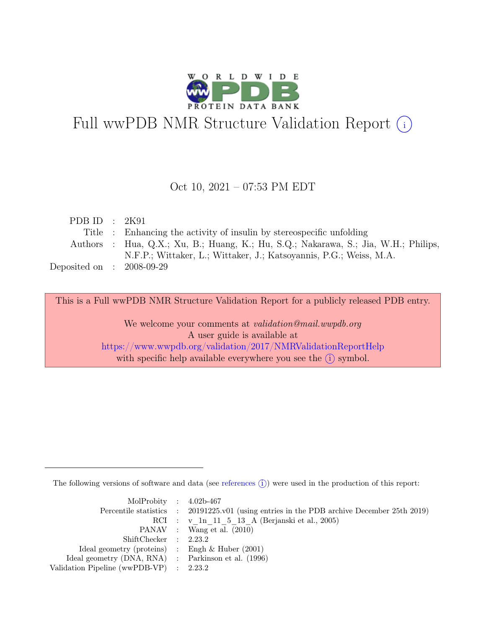

# Full wwPDB NMR Structure Validation Report (i)

### Oct 10, 2021 – 07:53 PM EDT

| PDB ID : $2K91$             |                                                                                     |
|-----------------------------|-------------------------------------------------------------------------------------|
|                             | Title : Enhancing the activity of insulin by stereospecific unfolding               |
|                             | Authors : Hua, Q.X.; Xu, B.; Huang, K.; Hu, S.Q.; Nakarawa, S.; Jia, W.H.; Philips, |
|                             | N.F.P.; Wittaker, L.; Wittaker, J.; Katsoyannis, P.G.; Weiss, M.A.                  |
| Deposited on : $2008-09-29$ |                                                                                     |

This is a Full wwPDB NMR Structure Validation Report for a publicly released PDB entry.

We welcome your comments at *validation@mail.wwpdb.org* A user guide is available at <https://www.wwpdb.org/validation/2017/NMRValidationReportHelp> with specific help available everywhere you see the  $(i)$  symbol.

The following versions of software and data (see [references](https://www.wwpdb.org/validation/2017/NMRValidationReportHelp#references)  $\hat{I}$ ) were used in the production of this report:

| MolProbity : $4.02b-467$                            |                                                                                            |
|-----------------------------------------------------|--------------------------------------------------------------------------------------------|
|                                                     | Percentile statistics : 20191225.v01 (using entries in the PDB archive December 25th 2019) |
|                                                     | RCI : v 1n 11 5 13 A (Berjanski et al., 2005)                                              |
|                                                     | PANAV : Wang et al. (2010)                                                                 |
| ShiftChecker : 2.23.2                               |                                                                                            |
| Ideal geometry (proteins) : Engh $\&$ Huber (2001)  |                                                                                            |
| Ideal geometry (DNA, RNA) : Parkinson et al. (1996) |                                                                                            |
| Validation Pipeline (wwPDB-VP) : $2.23.2$           |                                                                                            |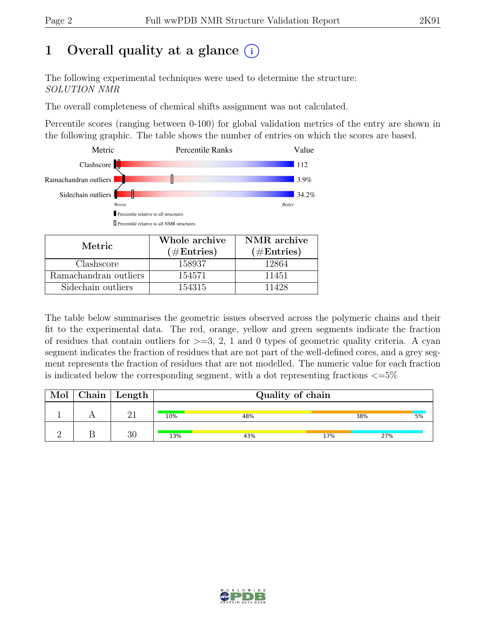# 1 Overall quality at a glance  $(i)$

The following experimental techniques were used to determine the structure: SOLUTION NMR

The overall completeness of chemical shifts assignment was not calculated.

Percentile scores (ranging between 0-100) for global validation metrics of the entry are shown in the following graphic. The table shows the number of entries on which the scores are based.



| Metric.               | Whole archive<br>$(\#Entries)$ | NMR archive<br>$(\#Entries)$ |  |  |
|-----------------------|--------------------------------|------------------------------|--|--|
| Clashscore            | 158937                         | 12864                        |  |  |
| Ramachandran outliers | 154571                         | 11451                        |  |  |
| Sidechain outliers    | 154315                         | 11428                        |  |  |

The table below summarises the geometric issues observed across the polymeric chains and their fit to the experimental data. The red, orange, yellow and green segments indicate the fraction of residues that contain outliers for  $>=$  3, 2, 1 and 0 types of geometric quality criteria. A cyan segment indicates the fraction of residues that are not part of the well-defined cores, and a grey segment represents the fraction of residues that are not modelled. The numeric value for each fraction is indicated below the corresponding segment, with a dot representing fractions  $\langle=5\%$ 

| Mol | $\alpha$ Chain   Length |     | Quality of chain |     |     |    |
|-----|-------------------------|-----|------------------|-----|-----|----|
|     |                         | 10% | 48%              |     | 38% | 5% |
|     | 30                      | 13% | 43%              | 17% | 27% |    |

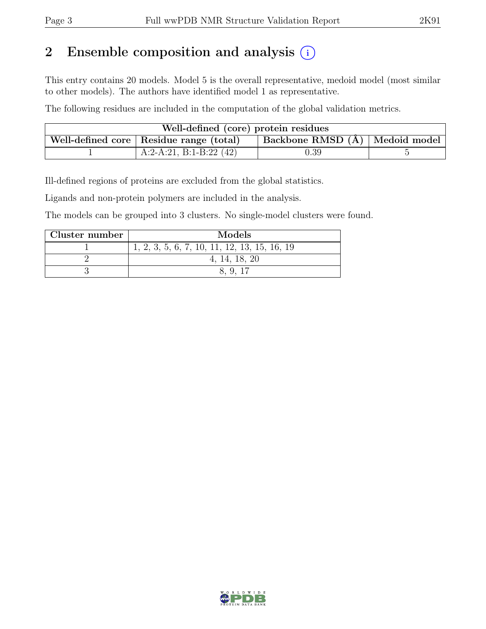## 2 Ensemble composition and analysis  $(i)$

This entry contains 20 models. Model 5 is the overall representative, medoid model (most similar to other models). The authors have identified model 1 as representative.

The following residues are included in the computation of the global validation metrics.

| Well-defined (core) protein residues |                                           |                                |  |  |  |  |
|--------------------------------------|-------------------------------------------|--------------------------------|--|--|--|--|
|                                      | Well-defined core   Residue range (total) | Backbone RMSD (Å) Medoid model |  |  |  |  |
|                                      | A:2-A:21, B:1-B:22 $(42)$                 | 0.39                           |  |  |  |  |

Ill-defined regions of proteins are excluded from the global statistics.

Ligands and non-protein polymers are included in the analysis.

The models can be grouped into 3 clusters. No single-model clusters were found.

| Cluster number | Models                                         |
|----------------|------------------------------------------------|
|                | $1, 2, 3, 5, 6, 7, 10, 11, 12, 13, 15, 16, 19$ |
|                | 4, 14, 18, 20                                  |
|                | 8.9.17                                         |

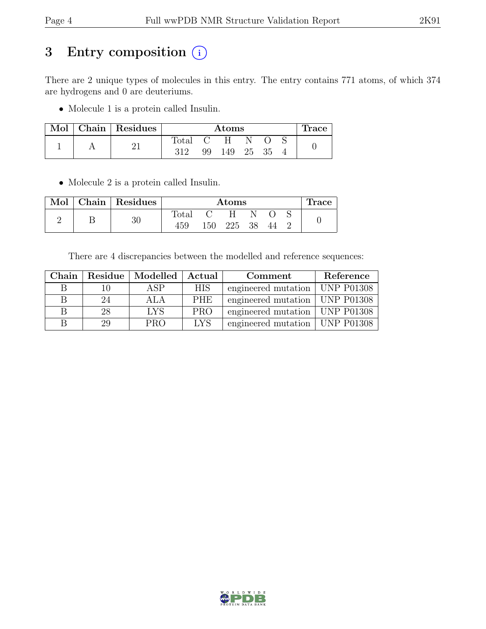## 3 Entry composition (i)

There are 2 unique types of molecules in this entry. The entry contains 771 atoms, of which 374 are hydrogens and 0 are deuteriums.

• Molecule 1 is a protein called Insulin.

| Mol | Chain   Residues | Atoms |    |     |    | Trace |  |  |
|-----|------------------|-------|----|-----|----|-------|--|--|
|     |                  | Total |    | H   |    |       |  |  |
|     |                  | 312   | 99 | 149 | 25 | 35    |  |  |

• Molecule 2 is a protein called Insulin.

| Mol | Chain   Residues | Atoms          |     |     |    | Trace |  |  |
|-----|------------------|----------------|-----|-----|----|-------|--|--|
|     |                  | $_{\rm Total}$ |     | H   |    |       |  |  |
|     | 30               | 459            | 150 | 225 | 38 | 44    |  |  |

There are 4 discrepancies between the modelled and reference sequences:

| ${\rm Chain}$ | Residue | Modelled   | Actual     | Comment                          | Reference         |
|---------------|---------|------------|------------|----------------------------------|-------------------|
|               |         | ASP        | <b>HIS</b> | engineered mutation              | <b>UNP P01308</b> |
| В             | 24      | ALA        | <b>PHE</b> | engineered mutation   UNP P01308 |                   |
|               | 28      | <b>LYS</b> | <b>PRO</b> | engineered mutation   UNP P01308 |                   |
|               | 29      | <b>PRO</b> | <b>LYS</b> | engineered mutation              | <b>UNP P01308</b> |

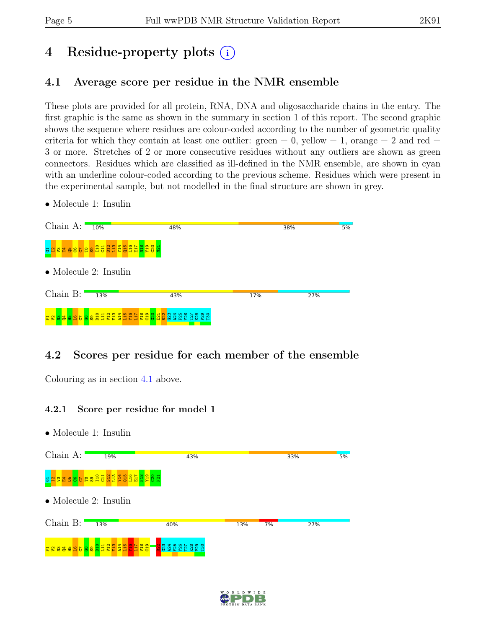# 4 Residue-property plots (i)

## <span id="page-4-0"></span>4.1 Average score per residue in the NMR ensemble

These plots are provided for all protein, RNA, DNA and oligosaccharide chains in the entry. The first graphic is the same as shown in the summary in section 1 of this report. The second graphic shows the sequence where residues are colour-coded according to the number of geometric quality criteria for which they contain at least one outlier:  $green = 0$ ,  $yellow = 1$ ,  $orange = 2$  and  $red =$ 3 or more. Stretches of 2 or more consecutive residues without any outliers are shown as green connectors. Residues which are classified as ill-defined in the NMR ensemble, are shown in cyan with an underline colour-coded according to the previous scheme. Residues which were present in the experimental sample, but not modelled in the final structure are shown in grey.

• Molecule 1: Insulin

| Chain A: $\frac{10\%}{10\%}$ |                                            | 48%             |     | 38% | 5% |
|------------------------------|--------------------------------------------|-----------------|-----|-----|----|
| $\overline{5}$               | <b>NSEB625ESHBHHHHHHHHHH</b>               |                 |     |     |    |
|                              | $\bullet$ Molecule 2: Insulin              |                 |     |     |    |
| Chain $B:$                   | 13%                                        | 43%             | 17% | 27% |    |
| <b>용용음음음음</b><br>문 양         | <b>BH284</b><br>eggenden<br>Seggenden<br>层 | <b>ARRER RR</b> |     |     |    |

## 4.2 Scores per residue for each member of the ensemble

Colouring as in section [4.1](#page-4-0) above.

#### 4.2.1 Score per residue for model 1

- Chain A: 19% 33% 43% ន <mark>ង ន ន ន ន ន ន ន ន ន ន ន ន ន ន</mark> ន ន E17  $\frac{8}{2}$  $\frac{9}{2}$ ខួ  $\overline{21}$ • Molecule 2: Insulin Chain B: 13%  $40%$ 13%  $7%$ 27%  $\frac{1}{2}$  $\frac{11}{11}$  $\frac{2}{2}$  $\frac{3}{21}$  $\frac{14}{4}$  $\frac{5}{11}$  $\frac{16}{21}$  $\frac{17}{11}$  $\frac{8}{2}$  $\frac{9}{2}$  $\frac{2}{2}$ 8<br>8 2 2 3 2 3 2 3  $_{\rm F30}$ r 2 2 3 4 9 8 <mark>5</mark> G8  $\mathbf{g}$  .
- Molecule 1: Insulin



 $5%$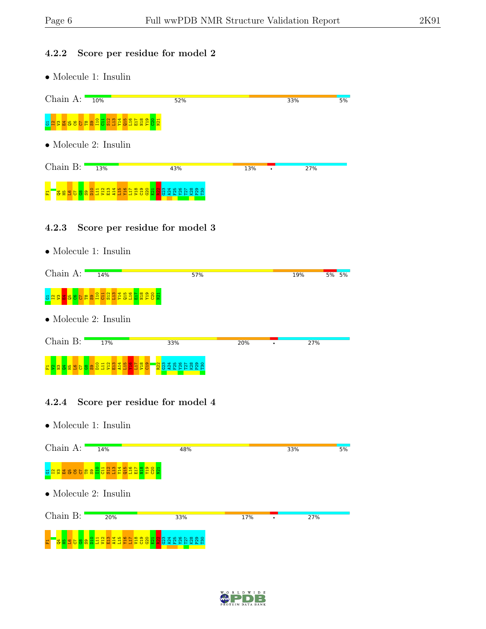### 4.2.2 Score per residue for model 2

• Molecule 1: Insulin

| Chain $A:$                    | 10% | 52%                                                                                                                    |     | 33% | 5%  |
|-------------------------------|-----|------------------------------------------------------------------------------------------------------------------------|-----|-----|-----|
| 퓽                             |     | <b>E THE SEE OF SHELL SHELL SHELL SHELL SHELL SHELL SHELL SHELL SHELL SHELL SHELL SHELL SHELL SHELL SHELL SHELL SH</b> |     |     |     |
| $\bullet$ Molecule 2: Insulin |     |                                                                                                                        |     |     |     |
| Chain $B:$                    | 13% | 43%                                                                                                                    | 13% | ٠   | 27% |
| 풊                             |     |                                                                                                                        |     |     |     |

### 4.2.3 Score per residue for model 3

• Molecule 1: Insulin

| Chain A:    | 14%                                                                          | 57%                                             |     | 19% | 5% 5% |  |
|-------------|------------------------------------------------------------------------------|-------------------------------------------------|-----|-----|-------|--|
| ਲ           | <mark>ងន</mark> ្ត្រី <mark>ន ខ </mark> ខ ង ន ដូច ដូច ដូច ដូច ដូច ដូច ដូច ដូ |                                                 |     |     |       |  |
|             | $\bullet$ Molecule 2: Insulin                                                |                                                 |     |     |       |  |
| $Chain B$ : | 17%                                                                          | 33%                                             | 20% | 27% |       |  |
|             |                                                                              | <mark>ន្ទ្រ</mark><br><mark>ខ្ល</mark> ួន ដូន ន |     |     |       |  |

### 4.2.4 Score per residue for model 4



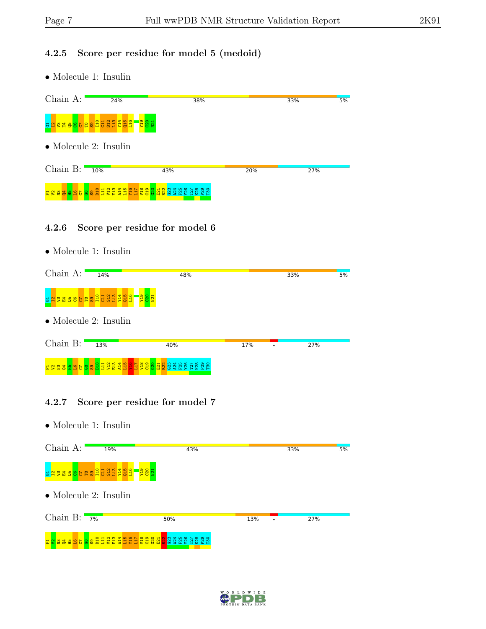#### 4.2.5 Score per residue for model 5 (medoid)

• Molecule 1: Insulin



#### 4.2.6 Score per residue for model 6

• Molecule 1: Insulin

| Chain A:                          | 14%           | 48%                               |     | 33% | 5%  |
|-----------------------------------|---------------|-----------------------------------|-----|-----|-----|
| 5 <sup>2</sup>                    | 3888688373222 |                                   |     |     |     |
| $\bullet$ Molecule 2: Insulin     |               |                                   |     |     |     |
| Chain B: $\blacksquare$           | 13%           | 40%                               | 17% |     | 27% |
| E 2 2 3 3 8 9 5 8 8 2 5 5 6 7 8 7 |               | $\frac{652}{112}$<br>$\mathbf{e}$ |     |     |     |

### 4.2.7 Score per residue for model 7



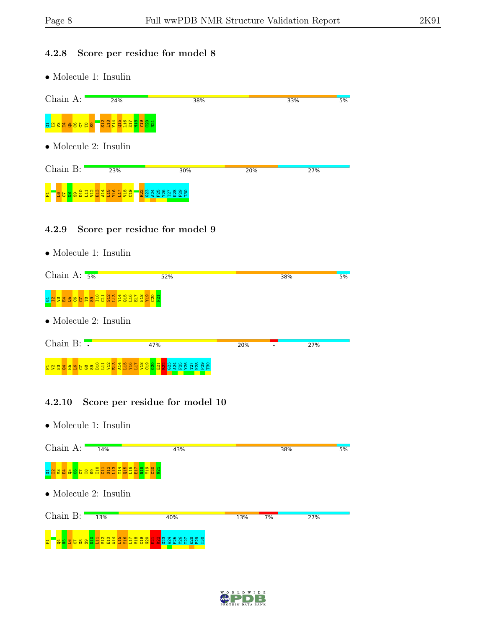#### 4.2.8 Score per residue for model 8

• Molecule 1: Insulin



#### 4.2.9 Score per residue for model 9

• Molecule 1: Insulin

| Chain A: $5\%$                                                                   | 52%     |     | 38% | 5%  |
|----------------------------------------------------------------------------------|---------|-----|-----|-----|
| <u>ទ <mark>ង ន ធ ទ ទ ទ ធ ន</mark> ដ ដ ដ ដ ដ ដ ដ ដ ដ ដ ដ ន</u> ង ន <mark>ង</mark> |         |     |     |     |
| $\bullet$ Molecule 2: Insulin                                                    |         |     |     |     |
| Chain B: $\overline{\cdot}$                                                      | 47%     | 20% |     | 27% |
| ES 2 2 2 2 3 2 3 3 2 3 4 5 6 8 9 2 4 5 6 7 8 7 7 7 7 7 7 7 8 9 8 7 8 7           | 2334 ES |     |     |     |

### 4.2.10 Score per residue for model 10



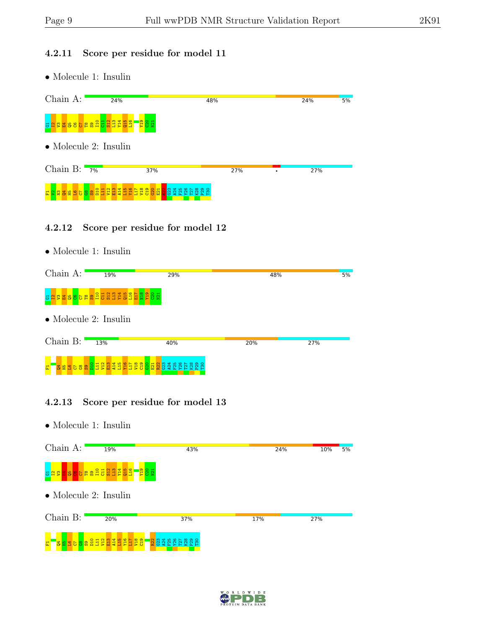### 4.2.11 Score per residue for model 11

• Molecule 1: Insulin

| Chain A:                                         |                       | 24%                        |                                                       | 48% | 24% | 5% |  |
|--------------------------------------------------|-----------------------|----------------------------|-------------------------------------------------------|-----|-----|----|--|
| <b>REA</b><br>SOL<br><b>sassbeashochder</b><br>퓽 |                       |                            |                                                       |     |     |    |  |
| $\bullet$ Molecule 2: Insulin                    |                       |                            |                                                       |     |     |    |  |
| Chain B: $7\%$                                   |                       |                            | 37%                                                   | 27% | 27% |    |  |
| g<br>$\mathbb{R}^n$<br>띺                         | ន្ត្រីនិទ្ធិដ្ឋ<br>별용 | Ë<br>$\overline{A14}$<br>H | C23<br><b>Eggaal</b><br>$\mathbb{R}^2$<br>೫<br>ਕ<br>æ |     |     |    |  |

### 4.2.12 Score per residue for model 12

• Molecule 1: Insulin

| Chain A:                      | 19%                                                                 | 29%     | 48% | 5%  |
|-------------------------------|---------------------------------------------------------------------|---------|-----|-----|
|                               | <u>ទ <mark>ង ន ន ទ ទ</mark> ទ ន ន ន ដ ដ ដ ដ ដ ដ ដ ដ ដ ដ ន</u> ន ន ដ |         |     |     |
| $\bullet$ Molecule 2: Insulin |                                                                     |         |     |     |
| Chain B:                      | 13%                                                                 | 40%     | 20% | 27% |
|                               | BEB68821328456558<br>$\mathbf{H}$                                   | 8828289 |     |     |

### 4.2.13 Score per residue for model 13



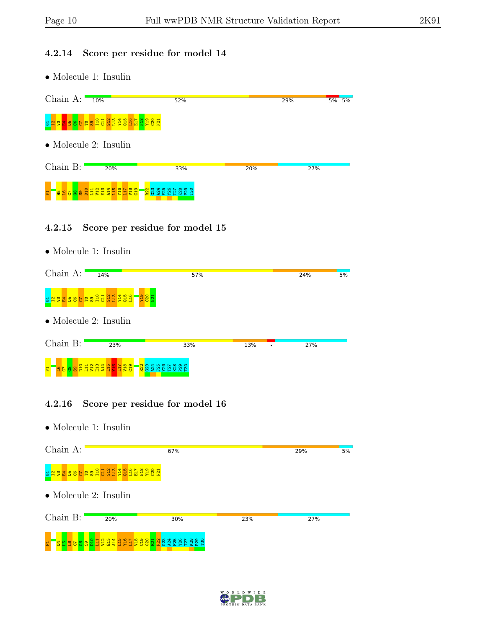### 4.2.14 Score per residue for model 14

• Molecule 1: Insulin

| Chain $A:$                    | 10%            | 52% |     | 29% |  | $5\%$ 5% |  |  |
|-------------------------------|----------------|-----|-----|-----|--|----------|--|--|
| 퓽                             |                |     |     |     |  |          |  |  |
| $\bullet$ Molecule 2: Insulin |                |     |     |     |  |          |  |  |
| Chain B:                      | 20%            | 33% | 20% | 27% |  |          |  |  |
| $\frac{87}{32}$<br>岊          | $\frac{2}{11}$ |     |     |     |  |          |  |  |

#### 4.2.15 Score per residue for model 15

• Molecule 1: Insulin

| Chain A:                                                               | 14%                       | 57%                                                                                                                                  |     | 24% | 5% |  |  |  |
|------------------------------------------------------------------------|---------------------------|--------------------------------------------------------------------------------------------------------------------------------------|-----|-----|----|--|--|--|
| <mark>ទដ្ឋ និង ទី និង ទី និង អ្នក អ្នក អ្នក</mark><br>Egg <sub>1</sub> |                           |                                                                                                                                      |     |     |    |  |  |  |
| $\bullet$ Molecule 2: Insulin                                          |                           |                                                                                                                                      |     |     |    |  |  |  |
| Chain B:                                                               | 23%                       | 33%                                                                                                                                  | 13% | 27% |    |  |  |  |
| $\overline{D10}$<br>883<br>풉                                           | 338355<br><b>ESS</b><br>잁 | <b>o</b><br>1<br>1<br>2<br>2<br>2<br>2<br>2<br>2<br>2<br>2<br>2<br>2<br>2<br>2<br>2<br>1<br>2<br>2<br>2<br>1<br>2<br>2<br>2<br>2<br> |     |     |    |  |  |  |

### 4.2.16 Score per residue for model 16



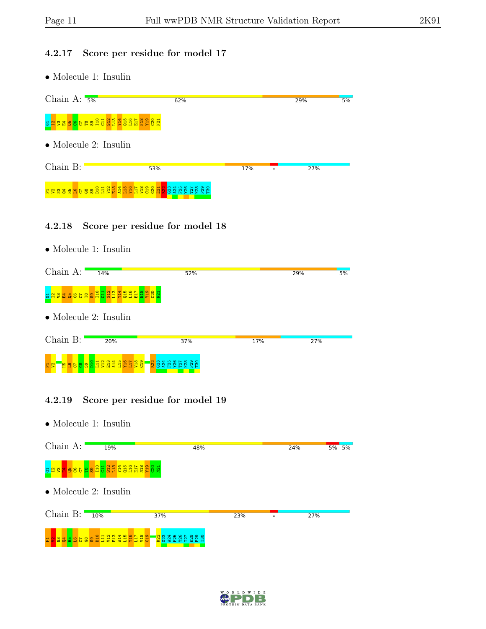#### 4.2.17 Score per residue for model 17

• Molecule 1: Insulin



#### 4.2.18 Score per residue for model 18

• Molecule 1: Insulin

| Chain A:                      | 14%                                                    | 52% |     | 29% | 5% |
|-------------------------------|--------------------------------------------------------|-----|-----|-----|----|
|                               | <u>ង ដូន ធ្នូន ទីក្ដី ដូន ដូន ដូន ដូន ដូន ដូន ដូ</u> ន |     |     |     |    |
| $\bullet$ Molecule 2: Insulin |                                                        |     |     |     |    |
| Chain B:                      | 20%                                                    | 37% | 17% | 27% |    |
|                               |                                                        |     |     |     |    |
| <u>높급담영용업당 명</u><br>S.<br>冨   | 2822<br>55<br>-靑                                       |     |     |     |    |

### 4.2.19 Score per residue for model 19



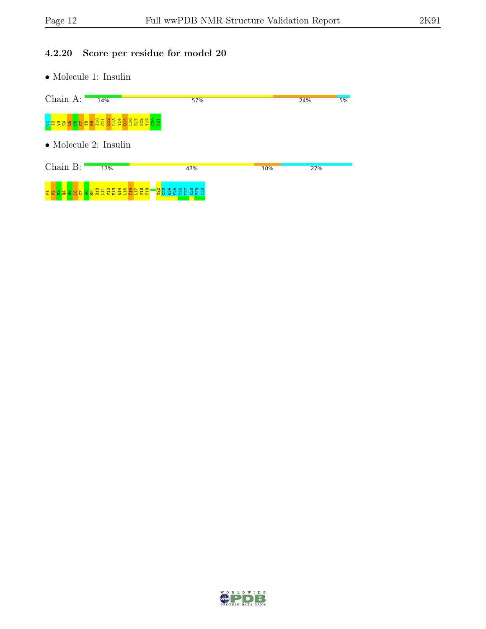### 4.2.20 Score per residue for model 20

 $\bullet$  Molecule 1: Insulin

| Chain A:      | 14%                                       | 57%                          |     | 24% | 5% |
|---------------|-------------------------------------------|------------------------------|-----|-----|----|
| 퓽             | <b>NAZA BRAGO BRAGO BRAGO BRAGO BRAGO</b> |                              |     |     |    |
|               | $\bullet$ Molecule 2: Insulin             |                              |     |     |    |
| Chain B:      | 17%                                       | 47%                          | 10% | 27% |    |
| 8899988<br>甚양 | 8188488688                                | <u>ន</u><br>334<br>834<br>85 |     |     |    |

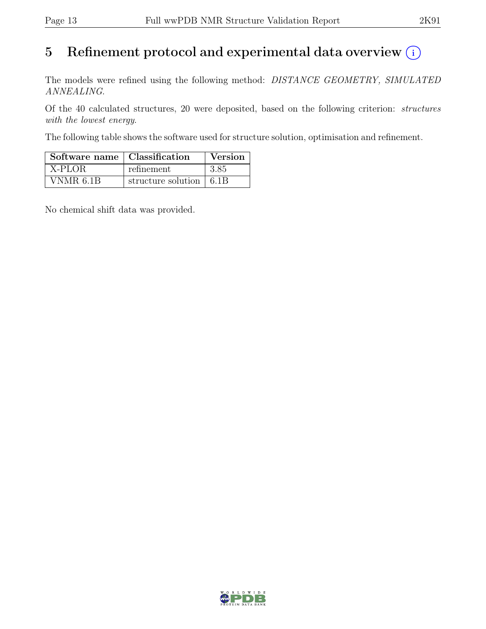# 5 Refinement protocol and experimental data overview  $(i)$

The models were refined using the following method: DISTANCE GEOMETRY, SIMULATED ANNEALING.

Of the 40 calculated structures, 20 were deposited, based on the following criterion: structures with the lowest energy.

The following table shows the software used for structure solution, optimisation and refinement.

| Software name   Classification |                                 | Version |
|--------------------------------|---------------------------------|---------|
| X-PLOR                         | refinement                      | 3.85    |
| VNMR 6.1B                      | structure solution $\vert$ 6.1B |         |

No chemical shift data was provided.

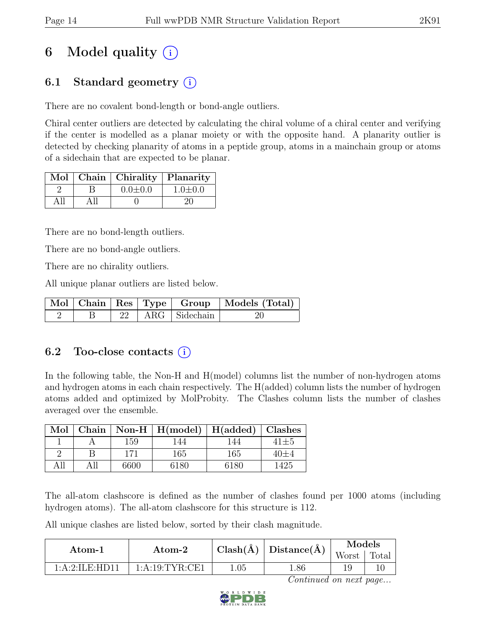# 6 Model quality  $(i)$

## 6.1 Standard geometry (i)

There are no covalent bond-length or bond-angle outliers.

Chiral center outliers are detected by calculating the chiral volume of a chiral center and verifying if the center is modelled as a planar moiety or with the opposite hand. A planarity outlier is detected by checking planarity of atoms in a peptide group, atoms in a mainchain group or atoms of a sidechain that are expected to be planar.

|  | Mol   Chain   Chirality   Planarity |               |
|--|-------------------------------------|---------------|
|  | $0.0 \pm 0.0$                       | $1.0 \pm 0.0$ |
|  |                                     |               |

There are no bond-length outliers.

There are no bond-angle outliers.

There are no chirality outliers.

All unique planar outliers are listed below.

|  |  |                        | Mol   Chain   Res   Type   Group   Models (Total) |
|--|--|------------------------|---------------------------------------------------|
|  |  | $22$   ARG   Sidechain |                                                   |

## 6.2 Too-close contacts  $(i)$

In the following table, the Non-H and H(model) columns list the number of non-hydrogen atoms and hydrogen atoms in each chain respectively. The H(added) column lists the number of hydrogen atoms added and optimized by MolProbity. The Clashes column lists the number of clashes averaged over the ensemble.

| Mol  | Chain |      | $\vert$ Non-H $\vert$ H(model) | $H(\mathrm{added})$ | Clashes    |
|------|-------|------|--------------------------------|---------------------|------------|
|      |       | 159  | 44                             | 44                  | $41\pm5$   |
|      |       | 171  | 165                            | 165                 | $40 \pm 4$ |
| A 11 |       | 6600 | 6180                           | 6180                | 1425       |

The all-atom clashscore is defined as the number of clashes found per 1000 atoms (including hydrogen atoms). The all-atom clashscore for this structure is 112.

All unique clashes are listed below, sorted by their clash magnitude.

| Atom-1                                                           | $\bold{Atom\text{-}2}$ |          | $\pm \text{Clash}(\text{\AA}) \mid \text{Distance}(\text{\AA}) \perp$ | Models<br>Worst | Total |
|------------------------------------------------------------------|------------------------|----------|-----------------------------------------------------------------------|-----------------|-------|
| $1 \cdot A \cdot 2 \cdot H \cdot H$ $\Gamma \cdot H$ $\Gamma$ 11 | 1: A:19: TYR: CE1      | $1.05\,$ | 1.86                                                                  |                 |       |

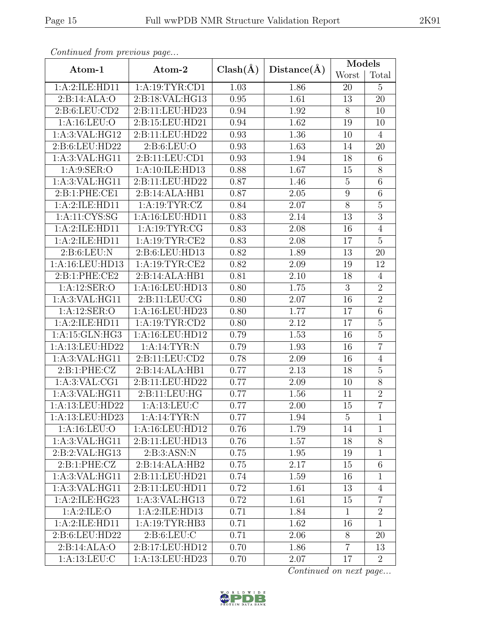|                   |                    |              |                   | Models           |                 |  |
|-------------------|--------------------|--------------|-------------------|------------------|-----------------|--|
| Atom-1            | Atom-2             | $Clash(\AA)$ | Distance $(\AA)$  | Worst            | Total           |  |
| 1:A:2:ILE:HD11    | 1:A:19:TYR:CD1     | 1.03         | 1.86              | 20               | $\overline{5}$  |  |
| 2:B:14:ALA:O      | 2:B:18:VAL:HG13    | 0.95         | 1.61              | 13               | 20              |  |
| 2: B:6: LEU: CD2  | 2:B:11:LEU:HD23    | 0.94         | 1.92              | 8                | 10              |  |
| 1:A:16:LEU:O      | 2:B:15:LEU:HD21    | 0.94         | 1.62              | 19               | 10              |  |
| 1:A:3:VAL:HG12    | 2:B:11:LEU:HD22    | 0.93         | 1.36              | 10               | $\overline{4}$  |  |
| 2:B:6:LEU:HD22    | 2: B:6: LEU:O      | 0.93         | 1.63              | 14               | 20              |  |
| 1:A:3:VAL:HG11    | 2:B:11:LEU:CD1     | 0.93         | 1.94              | 18               | $6\overline{6}$ |  |
| 1: A:9: SER:O     | 1:A:10:ILE:HD13    | 0.88         | 1.67              | 15               | $8\,$           |  |
| 1: A:3: VAL: HG11 | 2:B:11:LEU:HD22    | 0.87         | 1.46              | $\overline{5}$   | $\overline{6}$  |  |
| 2:B:1:PHE:CE1     | 2:B:14:ALA:HB1     | 0.87         | 2.05              | $\boldsymbol{9}$ | $\sqrt{6}$      |  |
| 1:A:2:ILE:HD11    | 1:A:19:TYR:CZ      | 0.84         | 2.07              | $\overline{8}$   | $\overline{5}$  |  |
| 1: A: 11: CYS: SG | 1: A:16: LEU: HD11 | 0.83         | 2.14              | 13               | $\overline{3}$  |  |
| 1:A:2:ILE:HD11    | 1: A: 19: TYR: CG  | 0.83         | 2.08              | 16               | $\overline{4}$  |  |
| 1:A:2:ILE:HD11    | 1:A:19:TYR:CE2     | 0.83         | 2.08              | 17               | $\overline{5}$  |  |
| 2: B:6: LEU: N    | 2:B:6:LEU:HD13     | 0.82         | 1.89              | 13               | 20              |  |
| 1:A:16:LEU:HD13   | 1:A:19:TYR:CE2     | 0.82         | $\overline{2.09}$ | 19               | 12              |  |
| 2:B:1:PHE:CE2     | 2:B:14:ALA:HB1     | 0.81         | 2.10              | 18               | $\overline{4}$  |  |
| 1: A:12: SER:O    | 1:A:16:LEU:HD13    | 0.80         | 1.75              | 3                | $\overline{2}$  |  |
| $1:$ A:3:VAL:HG11 | 2: B: 11: LEU: CG  | 0.80         | 2.07              | 16               | $\overline{2}$  |  |
| 1:A:12:SER:O      | 1:A:16:LEU:HD23    | 0.80         | 1.77              | 17               | $\overline{6}$  |  |
| 1:A:2:ILE:HD11    | 1:A:19:TYR:CD2     | 0.80         | 2.12              | 17               | $\overline{5}$  |  |
| 1:A:15:GLN:HG3    | $1:$ A:16:LEU:HD12 | 0.79         | 1.53              | 16               | $\overline{5}$  |  |
| 1:A:13:LEU:HD22   | 1:A:14:TYR:N       | 0.79         | 1.93              | 16               | $\overline{7}$  |  |
| 1:A:3:VAL:HG11    | 2:B:11:LEU:CD2     | 0.78         | 2.09              | 16               | $\overline{4}$  |  |
| 2:B:1:PHE:CZ      | 2:B:14:ALA:HB1     | 0.77         | 2.13              | 18               | $\overline{5}$  |  |
| 1: A:3: VAL:CG1   | 2:B:11:LEU:HD22    | 0.77         | 2.09              | 10               | $\overline{8}$  |  |
| 1:A:3:VAL:HG11    | 2:B:11:LEU:HG      | 0.77         | 1.56              | 11               | $\overline{2}$  |  |
| 1:A:13:LEU:HD22   | 1: A: 13: LEU: C   | 0.77         | 2.00              | 15               | $\overline{7}$  |  |
| 1:A:13:LEU:HD23   | 1: A:14:TYR:N      | 0.77         | 1.94              | 5                | $\mathbf{1}$    |  |
| 1:A:16:LEU:O      | 1:A:16:LEU:HD12    | 0.76         | 1.79              | 14               | $\mathbf{1}$    |  |
| 1:A:3:VAL:HG11    | 2:B:11:LEU:HD13    | 0.76         | 1.57              | 18               | 8               |  |
| 2:B:2:VAL:HG13    | 2: B:3: ASN: N     | 0.75         | 1.95              | 19               | $\mathbf{1}$    |  |
| 2:B:1:PHE:CZ      | 2:B:14:ALA:HB2     | 0.75         | 2.17              | 15               | $\overline{6}$  |  |
| 1:A:3:VAL:HG11    | 2:B:11:LEU:HD21    | 0.74         | 1.59              | 16               | $\mathbf{1}$    |  |
| 1: A:3: VAL: HG11 | 2:B:11:LEU:HD11    | 0.72         | 1.61              | 13               | $\overline{4}$  |  |
| 1:A:2:ILE:HG23    | $1:$ A:3:VAL:HG13  | 0.72         | 1.61              | 15               | $\overline{7}$  |  |
| 1:A:2:ILE:O       | 1:A:2:ILE:HD13     | 0.71         | 1.84              | $\mathbf 1$      | $\overline{2}$  |  |
| 1:A:2:ILE:HD11    | 1: A:19: TYR: HB3  | 0.71         | 1.62              | 16               | 1               |  |
| 2:B:6:LEU:HD22    | 2: B:6: LEU: C     | 0.71         | 2.06              | 8                | 20              |  |
| 2:B:14:ALA:O      | 2:B:17:LEU:HD12    | 0.70         | 1.86              | $\overline{7}$   | 13              |  |
| 1:A:13:LEU:C      | 1:A:13:LEU:HD23    |              | 2.07              | 17               | $\overline{2}$  |  |

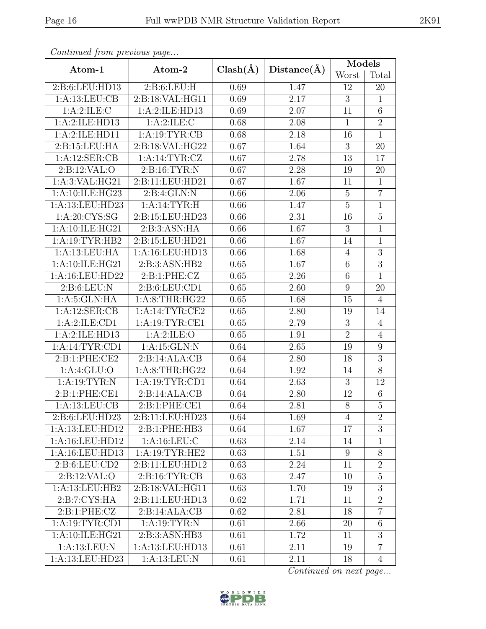| Continuation protions page           |                                  |              |             | Models         |                 |  |
|--------------------------------------|----------------------------------|--------------|-------------|----------------|-----------------|--|
| Atom-1                               | Atom-2                           | $Clash(\AA)$ | Distance(A) | Worst          | Total           |  |
| 2:B:6:LEU:HD13                       | 2: B:6: LEU: H                   | 0.69         | 1.47        | 12             | 20              |  |
| 1: A:13: LEU: CB                     | 2:Bi:18:VAL:HG11                 | 0.69         | 2.17        | 3              | $\mathbf{1}$    |  |
| 1:A:2:ILE:C                          | 1:A:2:ILE:HD13                   | 0.69         | 2.07        | 11             | 6               |  |
| 1:A:2:ILE:HD13                       | 1:A:2:ILE:C                      | 0.68         | 2.08        | $\mathbf{1}$   | $\overline{2}$  |  |
| 1:A:2:ILE:HD11                       | 1:A:19:TYR:CB                    | 0.68         | 2.18        | 16             | $\mathbf{1}$    |  |
| 2:B:15:LEU:HA                        | 2:B:18:VAL:HG22                  | 0.67         | 1.64        | $\sqrt{3}$     | 20              |  |
| $1:A:12:\overline{\text{SER:CB}}$    | 1:A:14:TYR:CZ                    | 0.67         | 2.78        | 13             | 17              |  |
| 2:B:12:VAL:O                         | 2: B:16: TYR:N                   | 0.67         | 2.28        | 19             | 20              |  |
| $1:A:\overline{3:VAL:HG21}$          | 2:B:11:LEU:HD21                  | 0.67         | 1.67        | 11             | $\overline{1}$  |  |
| 1:A:10:ILE:HG23                      | 2:B:4:GLN:N                      | 0.66         | 2.06        | $\overline{5}$ | $\overline{7}$  |  |
| 1:A:13:LEU:HD23                      | 1:A:14:TYR:H                     | 0.66         | 1.47        | $\overline{5}$ | $\overline{1}$  |  |
| 1: A:20: CYS:SG                      | 2:B:15:LEU:HD23                  | 0.66         | 2.31        | 16             | $\bf 5$         |  |
| 1:A:10:ILE:HG21                      | 2:B:3:ASN:HA                     | 0.66         | 1.67        | $\overline{3}$ | $\overline{1}$  |  |
| 1:A:19:TYR:HB2                       | 2:B:15:LEU:HD21                  | 0.66         | 1.67        | 14             | $\overline{1}$  |  |
| 1:A:13:LEU:HA                        | 1:A:16:LEU:HD13                  | 0.66         | 1.68        | $\overline{4}$ | $\overline{3}$  |  |
| 1:A:10:ILE:HG21                      | 2:B:3:ASN:HB2                    | 0.65         | 1.67        | $\,6$          | $\overline{3}$  |  |
| 1:A:16:LEU:HD22                      | 2: B: 1: PHE: CZ                 | 0.65         | 2.26        | $\,$ 6 $\,$    | $\overline{1}$  |  |
| 2: B:6: LEU: N                       | 2:B:6:LEU:CD1                    | 0.65         | 2.60        | $9\,$          | 20              |  |
| 1: A:5: GLN: HA                      | 1:A:8:THR:HG22                   | 0.65         | 1.68        | 15             | $\overline{4}$  |  |
| 1:A:12:SER:CB                        | 1:A:14:TYR:CE2                   | 0.65         | 2.80        | 19             | 14              |  |
| 1:A:2:ILE:CD1                        | 1:A:19:TYR:CE1                   | 0.65         | 2.79        | 3              | $\overline{4}$  |  |
| 1:A:2:ILE:HD13                       | 1:A:2:ILE:O                      | 0.65         | 1.91        | $\overline{2}$ | $\overline{4}$  |  |
| 1:A:14:TYR:CD1                       | 1: A:15: GLN:N                   | 0.64         | 2.65        | 19             | 9               |  |
| 2:B:1:PHE:CE2                        | 2:B:14:ALA:CB                    | 0.64         | 2.80        | 18             | 3               |  |
| 1: A:4: GLU:O                        | 1:A:8:THR:HG22                   | 0.64         | 1.92        | 14             | $8\,$           |  |
| 1: A: 19: TYR: N                     | 1: A: 19: TYR: CD1               | 0.64         | 2.63        | $\overline{3}$ | 12              |  |
| 2:B:1:PHE:CE1                        | 2:B:14:ALA:CB                    | 0.64         | 2.80        | 12             | $6\phantom{.}6$ |  |
| 1:A:13:LEU:CB                        | 2:B:1:PHE:CE1                    | 0.64         | 2.81        | $\overline{8}$ | $\overline{5}$  |  |
| 2:B:6:LEU:HD23                       | 2:B:11:LEU:HD23                  | 0.64         | 1.69        | 4              | $\overline{2}$  |  |
| 1:A:13:LEU:HD12                      | 2:B:1:PHE:HB3                    | 0.64         | 1.67        | 17             | 3               |  |
| 1:A:16:LEU:HD12                      | 1: A:16:LEU: C                   | 0.63         | 2.14        | 14             | $\mathbf{1}$    |  |
| 1:A:16:LEU:HD13                      | 1: A:19: TYR: HE2                | 0.63         | 1.51        | 9              | $8\,$           |  |
| $2: B:6: \overline{\mathrm{LU:CD2}}$ | 2:B:11:LEU:HD12                  | 0.63         | 2.24        | 11             | $\overline{2}$  |  |
| 2:B:12:VAL:O                         | 2: B: 16: TYR: CB                | 0.63         | 2.47        | 10             | $\mathbf 5$     |  |
| 1:A:13:LEU:HB2                       | 2:B:18:VAL:HG11                  | 0.63         | 1.70        | 19             | $\overline{3}$  |  |
| 2: B: 7: CYS: HA                     | 2:B:11:LEU:HD13                  | 0.62         | 1.71        | 11             | $\overline{2}$  |  |
| 2:B:1:PHE:CZ                         | 2:B:14:ALA:CB                    |              | 2.81        | 18             | $\overline{7}$  |  |
| 1: A:19:TYR:CD1                      | 1: A:19: TYR: N                  | 0.61         | 2.66        | 20             | 6               |  |
| 1:A:10:ILE:HG21                      | 2:B:3:ASN:HB3                    | 0.61         | 1.72        | 11             | 3               |  |
| 1: A:13: LEU: N                      | 1: A:13: LEU: HD13               | 0.61         | 2.11        | 19             | $\overline{7}$  |  |
| 1:A:13:LEU:HD23                      | $1:A:13:\overline{\text{LEU:N}}$ |              | 2.11        | 18             | $\overline{4}$  |  |

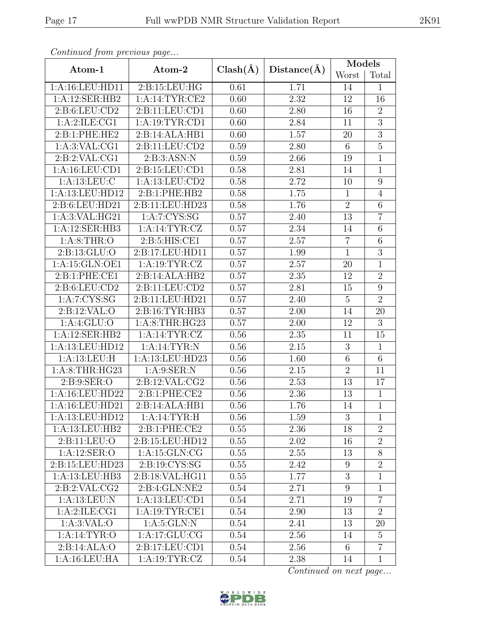| $\mu$ . The process of $\mu$ is a page |                    |              |             | Models           |                 |  |
|----------------------------------------|--------------------|--------------|-------------|------------------|-----------------|--|
| Atom-1                                 | Atom-2             | $Clash(\AA)$ | Distance(A) | Worst            | Total           |  |
| 1:A:16:LEU:HD11                        | 2:B:15:LEU:HG      | 0.61         | 1.71        | 14               | $\mathbf{1}$    |  |
| 1:A:12:SER:HB2                         | 1:A:14:TYR:CE2     | 0.60         | 2.32        | 12               | 16              |  |
| 2:B:6:LEU:CD2                          | 2:B:11:LEU:CD1     | 0.60         | 2.80        | 16               | $\overline{2}$  |  |
| 1:A:2:ILE:CG1                          | 1: A: 19: TYR: CD1 | 0.60         | 2.84        | 11               | $\overline{3}$  |  |
| 2:B:1:PHE:HE2                          | 2:B:14:ALA:HB1     | 0.60         | 1.57        | $20\,$           | $\overline{3}$  |  |
| 1: A:3:VAL:CG1                         | 2:B:11:LEU:CD2     | 0.59         | 2.80        | $6\,$            | $\overline{5}$  |  |
| 2:B:2:VAL:CG1                          | 2: B:3: ASN:N      | 0.59         | 2.66        | 19               | $\mathbf{1}$    |  |
| 1: A: 16: LEU: CD1                     | 2: B: 15: LEU: CD1 | 0.58         | 2.81        | 14               | $\mathbf{1}$    |  |
| 1: A: 13: LEU: C                       | 1:A:13:LEU:CD2     | 0.58         | 2.72        | 10               | 9               |  |
| 1:A:13:LEU:HD12                        | 2:B:1:PHE:HB2      | 0.58         | 1.75        | $\mathbf{1}$     | $\overline{4}$  |  |
| 2:B:6:LEU:HD21                         | 2:B:11:LEU:HD23    | 0.58         | 1.76        | $\overline{2}$   | 6               |  |
| 1: A:3: VAL: HG21                      | 1: A: 7: CYS: SG   | 0.57         | 2.40        | 13               | $\overline{7}$  |  |
| 1:A:12:SER:HB3                         | 1:A:14:TYR:CZ      | 0.57         | 2.34        | 14               | 6               |  |
| 1: A:8:THR:O                           | 2: B:5: HIS: CE1   | 0.57         | 2.57        | $\overline{7}$   | 6               |  |
| 2: B: 13: GLU: O                       | 2:B:17:LEU:HD11    | 0.57         | 1.99        | $\mathbf{1}$     | 3               |  |
| 1:A:15:GLN:OE1                         | 1:A:19:TYR:CZ      | 0.57         | 2.57        | 20               | $\overline{1}$  |  |
| 2:B:1:PHE:CE1                          | 2:B:14:ALA:HB2     | 0.57         | 2.35        | 12               | $\overline{2}$  |  |
| 2:B:6:LEU:CD2<br>2:B:11:LEU:CD2        |                    | 0.57         | 2.81        | 15               | $\overline{9}$  |  |
| 1:A:7:CYS:SG                           | 2:B:11:LEU:HD21    | 0.57         | 2.40        | $\overline{5}$   | $\overline{2}$  |  |
| 2:B:12:VAL:O                           | 2:B:16:TYR:HB3     | 0.57         | 2.00        | 14               | 20              |  |
| 1: A:4: GLU:O                          | 1: A:8:THR:HG23    | 0.57         | 2.00        | 12               | $\overline{3}$  |  |
| 1:A:12:SER:HB2                         | 1:A:14:TYR:CZ      | 0.56         | 2.35        | 11               | 15              |  |
| 1:A:13:LEU:HD12                        | 1:A:14:TYR:N       | 0.56         | 2.15        | $\boldsymbol{3}$ | $\mathbf{1}$    |  |
| 1:A:13:LEU:H                           | 1:A:13:LEU:HD23    | 0.56         | 1.60        | $\,$ 6 $\,$      | $6\phantom{.}6$ |  |
| 1: A:8:THR:HG23                        | 1: A:9: SER: N     | 0.56         | 2.15        | $\overline{2}$   | 11              |  |
| 2: B: 9: SER: O                        | 2: B: 12: VAL: CG2 | 0.56         | 2.53        | 13               | 17              |  |
| 1:A:16:LEU:HD22                        | 2:B:1:PHE:CE2      | 0.56         | 2.36        | 13               | $\mathbf{1}$    |  |
| 1:A:16:LEU:HD21                        | 2:B:14:ALA:HB1     | 0.56         | 1.76        | 14               | $\overline{1}$  |  |
| 1:A:13:LEU:HD12                        | 1: A:14:TYR:H      | 0.56         | 1.59        | 3                | 1               |  |
| 1:A:13:LEU:HB2                         | 2:B:1:PHE:CE2      | 0.55         | 2.36        | 18               | $\overline{2}$  |  |
| 2:B:11:LEU:O                           | 2:B:15:LEU:HD12    | 0.55         | 2.02        | 16               | $\overline{2}$  |  |
| 1: A:12: SER:O                         | 1:A:15:GLN:CG      | 0.55         | 2.55        | 13               | $8\,$           |  |
| 2:B:15:LEU:HD23                        | 2: B: 19: CYS: SG  | 0.55         | 2.42        | 9                | $\overline{2}$  |  |
| 1:A:13:LEU:HB3                         | 2:B:18:VAL:HG11    | 0.55         | 1.77        | 3                | 1               |  |
| 2: B:2: VAL: CG2                       | 2: B: 4: GLN: NE2  | 0.54         | 2.71        | 9                | $\mathbf{1}$    |  |
| 1: A:13: LEU: N                        | 1:A:13:LEU:CD1     | 0.54         | 2.71        | 19               | $\overline{7}$  |  |
| 1:A:2:ILE:CG1                          | 1:A:19:TYR:CE1     | 0.54         | 2.90        | 13               | $\overline{2}$  |  |
| 1: A:3: VAL:O                          | 1: A:5: GLN:N      | 0.54         | 2.41        | 13               | 20              |  |
| 1: A:14:TYR:O                          | 1:A:17:GLU:CG      | 0.54         | 2.56        | 14               | $\overline{5}$  |  |
| 2:B:14:ALA:O                           | 2:B:17:LEU:CD1     | 0.54         | 2.56        | $6\phantom{.}6$  | $\overline{7}$  |  |
| 1:A:16:LEU:HA                          | 1: A: 19: TYR: CZ  |              | 2.38        | 14               | $\mathbf{1}$    |  |

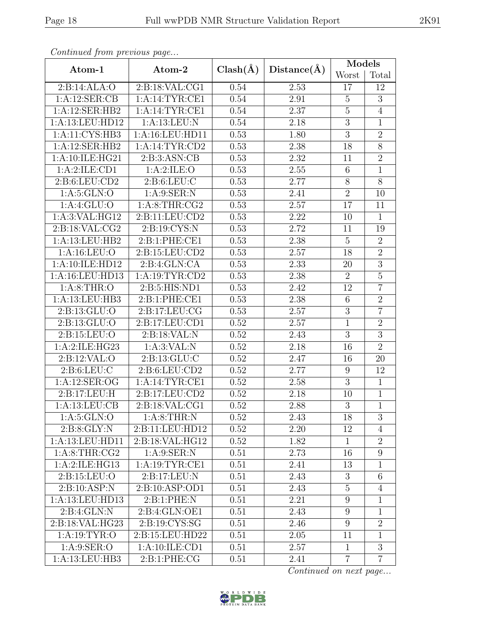|                                  |                    |              |             | Models         |                |  |
|----------------------------------|--------------------|--------------|-------------|----------------|----------------|--|
| Atom-1                           | Atom-2             | $Clash(\AA)$ | Distance(A) | Worst          | Total          |  |
| 2:B:14:ALA:O                     | 2:B:18:VAL:CG1     | 0.54         | 2.53        | 17             | 12             |  |
| 1:A:12:SER:CB                    | 1:A:14:TYR:CE1     | 0.54         | 2.91        | $\overline{5}$ | $\overline{3}$ |  |
| 1:A:12:SER:HB2                   | 1:A:14:TYR:CE1     | 0.54         | 2.37        | $\bf 5$        | $\overline{4}$ |  |
| 1:A:13:LEU:HD12                  | 1:A:13:LEU:N       | 0.54         | 2.18        | $\overline{3}$ | $\mathbf{1}$   |  |
| 1:A:11:CYS:HB3                   | 1:A:16:LEU:HD11    | 0.53         | 1.80        | $\overline{3}$ | $\overline{2}$ |  |
| 1:A:12:SER:HB2                   | 1:A:14:TYR:CD2     | 0.53         | 2.38        | 18             | $\overline{8}$ |  |
| 1: A: 10: ILE: HG21              | 2:B:3:ASN:CB       | 0.53         | 2.32        | 11             | $\overline{2}$ |  |
| 1:A:2:ILE:CD1                    | 1: A:2: ILE: O     | 0.53         | 2.55        | 6              | $\mathbf{1}$   |  |
| 2: B:6: LEU: CD2                 | 2: B:6: LEU: C     | 0.53         | 2.77        | $8\,$          | $\overline{8}$ |  |
| 1: A:5: GLN:O                    | 1: A:9: SER: N     | 0.53         | 2.41        | $\overline{2}$ | 10             |  |
| 1:A:4:GLU:O                      | 1: A:8:THR:CG2     | 0.53         | 2.57        | 17             | 11             |  |
| 1:A:3:VAL:HG12                   | 2: B: 11: LEU: CD2 | 0.53         | 2.22        | 10             | $\mathbf{1}$   |  |
| 2:B:18:VAL:CG2                   | 2: B: 19: CYS:N    | 0.53         | 2.72        | 11             | 19             |  |
| 1:A:13:LEU:HB2                   | 2: B: 1: PHE: CE1  | 0.53         | 2.38        | $\overline{5}$ | $\overline{2}$ |  |
| 1: A: 16: LEU: O                 | 2:B:15:LEU:CD2     | 0.53         | 2.57        | 18             | $\overline{2}$ |  |
| 1:A:10:ILE:HD12                  | 2: B: 4: GLN: CA   | 0.53         | 2.33        | $20\,$         | $\overline{3}$ |  |
| 1:A:16:LEU:HD13                  | 1: A:19: TYR: CD2  | 0.53         | 2.38        | $\overline{2}$ | $5\,$          |  |
| 1: A:8:THR:O<br>2: B:5: HIS: ND1 |                    | 0.53         | 2.42        | 12             | $\overline{7}$ |  |
| 1:A:13:LEU:HB3                   | 2: B: 1: PHE: CE1  | 0.53         | 2.38        | 6              | $\overline{2}$ |  |
| 2:B:13:GLU:O                     | 2:B:17:LEU:CG      | 0.53         | 2.57        | $\overline{3}$ | $\overline{7}$ |  |
| 2: B: 13: GLU: O                 | 2:B:17:LEU:CD1     | 0.52         | 2.57        | $\overline{1}$ | $\overline{2}$ |  |
| 2: B: 15: LEU: O                 | 2:B:18:VAL:N       | 0.52         | 2.43        | $\mathfrak{Z}$ | $\overline{3}$ |  |
| 1:A:2:ILE:HG23                   | 1: A:3: VAL: N     | 0.52         | 2.18        | 16             | $\overline{2}$ |  |
| 2:B:12:VAL:O                     | 2: B: 13: GLU: C   | 0.52         | 2.47        | 16             | 20             |  |
| 2: B:6: LEU: C                   | 2: B:6: LEU: CD2   | 0.52         | 2.77        | $9\,$          | 12             |  |
| 1:A:12:SER:OG                    | 1:A:14:TYR:CE1     | 0.52         | 2.58        | $\overline{3}$ | $\overline{1}$ |  |
| 2:B:17:LEU:H                     | 2:B:17:LEU:CD2     | 0.52         | 2.18        | 10             | $\mathbf{1}$   |  |
| 1: A:13: LEU: CB                 | 2:B:18:VAL:CG1     | 0.52         | 2.88        | $\overline{3}$ | $\overline{1}$ |  |
| 1: A:5: GLN:O                    | 1: A:8:THR:N       | 0.52         | 2.43        | 18             | 3              |  |
| 2: B:8: GLY:N                    | 2:B:11:LEU:HD12    | 0.52         | 2.20        | 12             | $\overline{4}$ |  |
| 1:A:13:LEU:HD11                  | 2:B:18:VAL:HG12    | 0.52         | 1.82        | $\mathbf{1}$   | $\overline{2}$ |  |
| 1: A:8:THR:CG2                   | 1: A:9: SER: N     | 0.51         | 2.73        | 16             | 9              |  |
| 1:A:2:ILE:HG13                   | 1: A:19:TYR:CE1    | 0.51         | 2.41        | 13             | $\mathbf{1}$   |  |
| 2: B: 15: LEU: O                 | 2:B:17:LEU:N       | 0.51         | 2.43        | 3              | $6\,$          |  |
| 2:B:10:ASP:N                     | 2: B: 10: ASP: OD1 | 0.51         | 2.43        | $\overline{5}$ | $\overline{4}$ |  |
| 1:A:13:LEU:HD13                  | 2: B: 1: PHE: N    | 0.51         | 2.21        | 9              | 1              |  |
| 2:B:4:GLN:N                      | 2:B:4:GLN:OE1      | 0.51         | 2.43        | 9              | $\mathbf{1}$   |  |
| 2:B:18:VAL:HG23                  | 2:B:19:CYS:SG      | 0.51         | 2.46        | 9              | $\overline{2}$ |  |
| 1: A: 19: TYR: O                 | 2:B:15:LEU:HD22    | 0.51         | 2.05        | 11             | $\mathbf{1}$   |  |
| 1: A:9: SER:O                    | 1:A:10:ILE:CD1     | 0.51         | 2.57        | $\mathbf{1}$   | $\overline{3}$ |  |
| 1:A:13:LEU:HB3                   | 2:B:1:PHE:CG       | 0.51         | 2.41        | $\overline{7}$ | $\overline{7}$ |  |

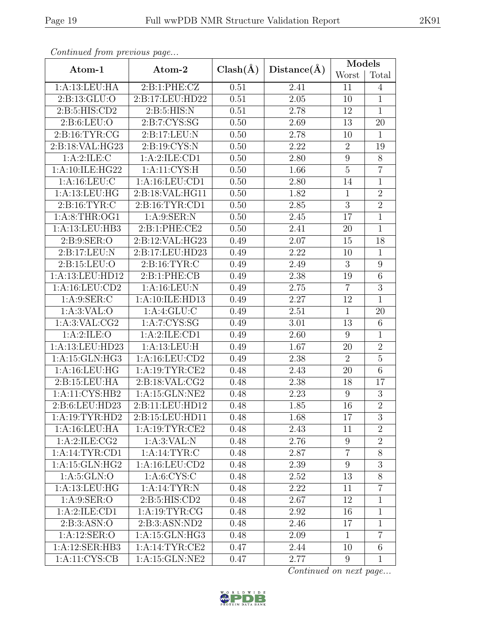| Continuation procession page |                                       |      |                   | Models          |                  |  |
|------------------------------|---------------------------------------|------|-------------------|-----------------|------------------|--|
| Atom-1                       | $Clash(\AA)$<br>Distance(A)<br>Atom-2 |      | Worst             | Total           |                  |  |
| 1:A:13:LEU:HA                | 2:B:1:PHE:CZ                          | 0.51 | 2.41              | 11              | $\overline{4}$   |  |
| 2:B:13:GLU:O                 | 2:B:17:LEU:HD22                       | 0.51 | 2.05              | 10              | $\mathbf{1}$     |  |
| 2: B:5: HIS: CD2             | 2: B:5: HIS:N                         | 0.51 | 2.78              | 12              | $\overline{1}$   |  |
| 2: B:6: LEU:O                | 2: B: 7: CYS: SG                      | 0.50 | 2.69              | 13              | 20               |  |
| 2: B:16: TYR: CG             | 2:B:17:LEU:N                          | 0.50 | 2.78              | 10              | $\mathbf{1}$     |  |
| 2:B:18:VAL:HG23              | 2:B:19:CYS:N                          | 0.50 | 2.22              | $\overline{2}$  | 19               |  |
| 1:A:2:ILE:C                  | 1:A:2:ILE:CD1                         | 0.50 | 2.80              | $9\phantom{.0}$ | $8\,$            |  |
| 1:A:10:ILE:HG22              | 1: A: 11: CYS:H                       | 0.50 | 1.66              | $\overline{5}$  | $\overline{7}$   |  |
| 1: A: 16: LEU: C             | 1:A:16:LEU:CD1                        | 0.50 | 2.80              | 14              | $\overline{1}$   |  |
| 1: A: 13: LEU: HG            | 2:B:18:VAL:HG11                       | 0.50 | 1.82              | $\mathbf{1}$    | $\overline{2}$   |  |
| 2: B: 16: TYR: C             | 2:B:16:TYR:CD1                        | 0.50 | 2.85              | $\overline{3}$  | $\overline{2}$   |  |
| 1: A:8:THR:OG1               | 1: A:9: SER: N                        | 0.50 | 2.45              | 17              | $\mathbf{1}$     |  |
| 1:A:13:LEU:HB3               | 2:B:1:PHE:CE2                         | 0.50 | 2.41              | 20              | $\overline{1}$   |  |
| 2: B: 9: SER: O              | 2:B:12:VAL:HG23                       | 0.49 | 2.07              | 15              | 18               |  |
| 2:B:17:LEU:N                 | 2:B:17:LEU:HD23                       | 0.49 | 2.22              | 10              | $\mathbf{1}$     |  |
| 2: B: 15: LEU: O             | 2: B: 16: TYR: C                      | 0.49 | 2.49              | 3               | $\overline{9}$   |  |
| 1:A:13:LEU:HD12              | 2:B:1:PHE:CB                          | 0.49 | 2.38              | 19              | $\overline{6}$   |  |
| 1:A:16:LEU:CD2               | 1: A:16:LEU: N                        | 0.49 | $\overline{2.75}$ | $\overline{7}$  | $\overline{3}$   |  |
| 1: A:9: SER: C               | 1:A:10:ILE:HD13                       | 0.49 | 2.27              | 12              | $\mathbf{1}$     |  |
| 1: A:3: VAL:O                | 1:A:4:GLU:C                           | 0.49 | 2.51              | $\mathbf{1}$    | 20               |  |
| 1:A:3:VAL:CG2                | 1: A: 7: CYS: SG                      | 0.49 | 3.01              | 13              | $6\,$            |  |
| 1:A:2:ILE:O                  | 1: A:2: ILE: CD1                      | 0.49 | 2.60              | 9               | $\mathbf{1}$     |  |
| 1:A:13:LEU:HD23              | 1:A:13:LEU:H                          | 0.49 | 1.67              | 20              | $\overline{2}$   |  |
| 1:A:15:GLN:HG3               | 1:A:16:LEU:CD2                        | 0.49 | 2.38              | $\overline{2}$  | $\overline{5}$   |  |
| 1: A: 16: LEU: HG            | 1: A: 19: TYR: CE2                    | 0.48 | 2.43              | 20              | $\sqrt{6}$       |  |
| 2:B:15:LEU:HA                | 2:B:18:VAL:CG2                        | 0.48 | 2.38              | 18              | 17               |  |
| 1:A:11:CYS:HB2               | $1:$ A:15:GLN:NE2                     | 0.48 | 2.23              | 9               | $\boldsymbol{3}$ |  |
| 2:B:6:LEU:HD23               | 2:B:11:LEU:HD12                       | 0.48 | 1.85              | 16              | $\overline{2}$   |  |
| 1: A: 19: TYR: HD2           | 2:B:15:LEU:HD11                       | 0.48 | 1.68              | 17              | 3                |  |
| 1:A:16:LEU:HA                | 1:A:19:TYR:CE2                        | 0.48 | 2.43              | 11              | $\overline{2}$   |  |
| 1: A:2: ILE: CG2             | 1: A:3: VAL: N                        | 0.48 | 2.76              | $9\phantom{.0}$ | $\overline{2}$   |  |
| 1:A:14:TYR:CD1               | 1:A:14:TYR:C                          | 0.48 | 2.87              | $\overline{7}$  | 8                |  |
| 1: A:15: GLN:HG2             | 1:A:16:LEU:CD2                        | 0.48 | 2.39              | $9\phantom{.0}$ | $\overline{3}$   |  |
| 1: A:5: GLN:O                | 1: A: 6: CYS: C                       | 0.48 | 2.52              | 13              | 8                |  |
| 1: A:13: LEU: HG             | 1: A:14:TYR:N                         | 0.48 | 2.22              | 11              | $\overline{7}$   |  |
| 1: A:9: SER:O                | 2: B:5: HIS: CD2                      |      | 2.67              | 12              | $\mathbf{1}$     |  |
| 1:A:2:ILE:CD1                | 1: A: 19: TYR: CG                     | 0.48 | 2.92              | 16              | $\mathbf{1}$     |  |
| 2: B:3: ASN:O                | 2:B:3:ASN:ND2                         | 0.48 | 2.46              | 17              | 1                |  |
| 1: A:12: SER:O               | 1:A:15:GLN:HG3                        | 0.48 | 2.09              | $\mathbf{1}$    | $\overline{7}$   |  |
| 1:A:12:SER:HB3               | 1:A:14:TYR:CE2                        | 0.47 | 2.44              | 10              | $6\,$            |  |
| 1:A:11:CYS:CB                | 1:A:15:GLN:NE2                        |      | 2.77              | $9\phantom{.0}$ | $\mathbf{1}$     |  |

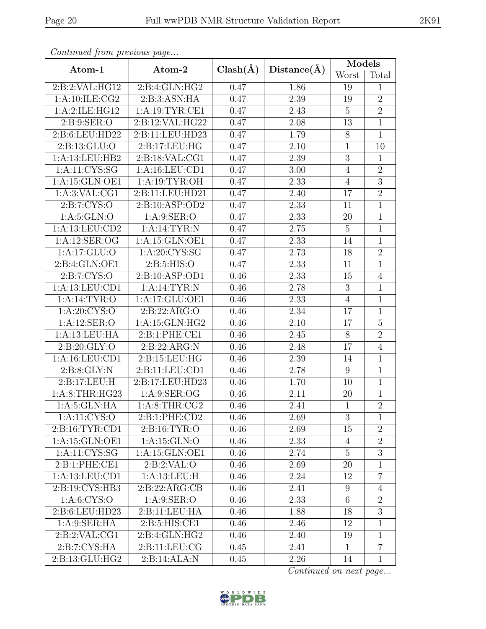| Continuation protions page |                   |              |             | Models          |                |  |
|----------------------------|-------------------|--------------|-------------|-----------------|----------------|--|
| Atom-1                     | Atom-2            | $Clash(\AA)$ | Distance(A) | Worst           | Total          |  |
| 2:B:2:VAL:HG12             | 2:B:4:GLN:HG2     | 0.47         | 1.86        | 19              | $\mathbf{1}$   |  |
| 1: A:10: ILE: CG2          | 2:B:3:ASN:HA      | 0.47         | 2.39        | 19              | $\overline{2}$ |  |
| 1:A:2:ILE:HG12             | 1:A:19:TYR:CE1    | 0.47         | 2.43        | $\overline{5}$  | $\overline{2}$ |  |
| 2: B: 9: SER: O            | 2:B:12:VAL:HG22   | 0.47         | 2.08        | 13              | $\overline{1}$ |  |
| 2:B:6:LEU:HD22             | 2:B:11:LEU:HD23   | 0.47         | 1.79        | $8\,$           | $\mathbf{1}$   |  |
| 2:B:13:GLU:O               | 2: B: 17: LEU: HG | 0.47         | 2.10        | $\mathbf{1}$    | 10             |  |
| 1:A:13:LEU:HB2             | 2:B:18:VAL:CG1    | 0.47         | 2.39        | $\overline{3}$  | $\mathbf{1}$   |  |
| 1: A: 11: CYS: SG          | 1:A:16:LEU:CD1    | 0.47         | 3.00        | $\overline{4}$  | $\overline{2}$ |  |
| 1:A:15:GLN:OE1             | 1:A:19:TYR:OH     | 0.47         | 2.33        | $\overline{4}$  | $\overline{3}$ |  |
| 1:A:3:VAL:CG1              | 2:B:11:LEU:HD21   | 0.47         | 2.40        | 17              | $\overline{2}$ |  |
| 2: B: 7: CYS: O            | 2:B:10:ASP:OD2    | 0.47         | 2.33        | 11              | $\overline{1}$ |  |
| 1: A:5: GLN:O              | 1: A:9: SER:O     | 0.47         | 2.33        | 20              | $\mathbf{1}$   |  |
| 1:A:13:LEU:CD2             | 1: A:14:TYR:N     | 0.47         | 2.75        | $\overline{5}$  | $\overline{1}$ |  |
| 1:A:12:SER:OG              | 1:A:15:GLN:OE1    | 0.47         | 2.33        | 14              | $\overline{1}$ |  |
| 1:A:17:GLU:O               | 1: A:20: CYS:SG   | 0.47         | 2.73        | 18              | $\overline{2}$ |  |
| 2:B:4:GLN:OE1              | 2:5:5:HIS:O       | 0.47         | 2.33        | 11              | $\overline{1}$ |  |
| 2: B: 7: CYS: O            | 2:B:10:ASP:OD1    | 0.46         | 2.33        | 15              | $\overline{4}$ |  |
| 1:A:13:LEU:CD1             | 1: A:14:TYR:N     |              | 2.78        | 3               | $\mathbf{1}$   |  |
| 1: A:14:TYR:O              | 1:A:17:GLU:OE1    | 0.46         | 2.33        | $\overline{4}$  | $\mathbf{1}$   |  |
| 1: A:20: CYS:O             | 2:B:22:ARG:O      | 0.46         | 2.34        | 17              | $\mathbf{1}$   |  |
| 1: A:12: SER:O             | 1:A:15:GLN:HG2    | 0.46         | 2.10        | 17              | $\overline{5}$ |  |
| 1:A:13:LEU:HA              | 2: B: 1: PHE: CE1 | 0.46         | 2.45        | $8\,$           | $\overline{2}$ |  |
| 2:B:20:GLY:O               | 2:B:22:ARG:N      | 0.46         | 2.48        | 17              | $\overline{4}$ |  |
| 1:A:16:LEU:CD1             | 2:B:15:LEU:HG     | 0.46         | 2.39        | 14              | $\mathbf{1}$   |  |
| 2:B:8:GLY:N                | 2:B:11:LEU:CD1    | 0.46         | 2.78        | 9               | $\mathbf{1}$   |  |
| 2:B:17:LEU:H               | 2:B:17:LEU:HD23   | 0.46         | 1.70        | 10              | $\overline{1}$ |  |
| 1: A:8:THR:HG23            | 1: A:9: SER:OG    | 0.46         | 2.11        | 20              | $\mathbf{1}$   |  |
| 1: A:5: GLN: HA            | 1: A:8:THR:CG2    | 0.46         | 2.41        | $\overline{1}$  | $\overline{2}$ |  |
| 1:A:11:CYS:O               | 2:B:1:PHE:CD2     | 0.46         | 2.69        | 3               | 1              |  |
| 2:B:16:TYR:CD1             | 2:B:16:TYR:O      | 0.46         | 2.69        | 15              | $\overline{2}$ |  |
| 1:A:15:GLN:OE1             | 1:A:15:GLN:O      | 0.46         | 2.33        | 4               | $\overline{2}$ |  |
| 1:A:11:CYS:SG              | 1:A:15:GLN:OE1    | 0.46         | 2.74        | $\overline{5}$  | $\overline{3}$ |  |
| 2:B:1:PHE:CE1              | 2: B:2: VAL:O     | 0.46         | 2.69        | 20              | $\mathbf{1}$   |  |
| 1:A:13:LEU:CD1             | 1:A:13:LEU:H      | 0.46         | 2.24        | 12              | $\overline{7}$ |  |
| 2:B:19:CYS:HB3             | 2:B:22:ARG:CB     | 0.46         | 2.41        | 9               | $\overline{4}$ |  |
| 1: A:6: CYS:O              | 1: A:9: SER:O     | 0.46         | 2.33        | $6\phantom{.}6$ | $\overline{2}$ |  |
| 2:B:6:LEU:HD23             | 2:B:11:LEU:HA     | 0.46         | 1.88        | 18              | $\overline{3}$ |  |
| 1: A:9: SER: HA            | 2: B:5: HIS: CE1  | 0.46         | 2.46        | 12              | $\mathbf{1}$   |  |
| 2: B:2: VAL: CG1           | 2: B: 4: GLN: HG2 | 0.46         | 2.40        | 19              | $\mathbf{1}$   |  |
| 2: B: 7: CYS: HA           | 2:Bi:11:LEU:CG    | 0.45         | 2.41        | $\mathbf{1}$    | $\overline{7}$ |  |
| 2:B:13:GLU:HG2             | 2:B:14:ALA:N      |              | 2.26        | 14              | $\mathbf{1}$   |  |

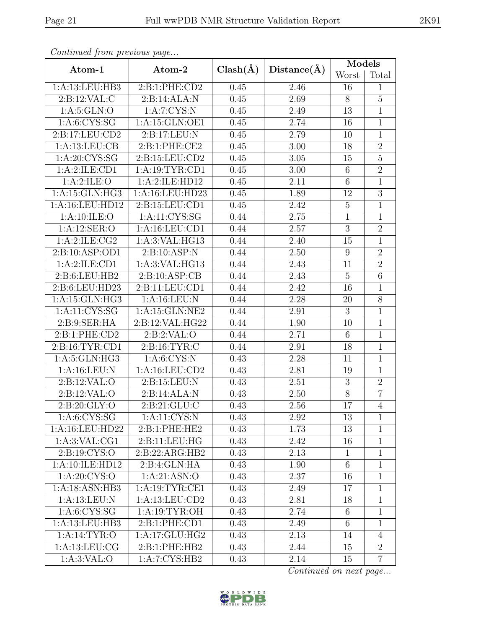| $\mu$ . The process of $\mu$ is a page |                                |              |                   | Models          |                |  |
|----------------------------------------|--------------------------------|--------------|-------------------|-----------------|----------------|--|
| Atom-1                                 | Atom-2                         | $Clash(\AA)$ | Distance(A)       | Worst           | Total          |  |
| 1:A:13:LEU:HB3                         | 2:B:1:PHE:CD2                  | 0.45         | 2.46              | 16              | $\mathbf{1}$   |  |
| 2:B:12:VAL:CL                          | 2:B:14:ALA:N                   | 0.45         | 2.69              | 8               | $\overline{5}$ |  |
| 1: A:5: GLN:O                          | 1:A:7:CYS:N                    | 0.45         | 2.49              | 13              | $\mathbf{1}$   |  |
| 1: A:6: CYS:SG                         | 1:A:15:GLN:OE1                 | 0.45         | 2.74              | 16              | $\overline{1}$ |  |
| 2:B:17:LEU:CD2                         | 2:B:17:LEU:N                   | 0.45         | 2.79              | 10              | $\mathbf{1}$   |  |
| 1:A:13:LEU:CB                          | 2:B:1:PHE:CE2                  | 0.45         | 3.00              | 18              | $\overline{2}$ |  |
| 1: A:20: CYS:SG                        | 2:B:15:LEU:CD2                 | 0.45         | 3.05              | 15              | $\overline{5}$ |  |
| 1:A:2:ILE:CD1                          | 1: A: 19: TYR: CD1             | 0.45         | $3.00\,$          | $\,6\,$         | $\overline{2}$ |  |
| 1: A:2: ILE: O                         | 1:A:2:ILE:HD12                 | 0.45         | 2.11              | $6\phantom{.}6$ | $\overline{1}$ |  |
| 1:A:15:GLN:HG3                         | 1: A:16: LEU: HD23             | 0.45         | 1.89              | 12              | $\overline{3}$ |  |
| 1:A:16:LEU:HD12                        | 2:B:15:LEU:CD1                 | 0.45         | 2.42              | $\overline{5}$  | $\mathbf{1}$   |  |
| 1: A: 10: ILE: O                       | 1:A:11:CYS:SG                  | 0.44         | 2.75              | $\mathbf{1}$    | $\mathbf{1}$   |  |
| 1:A:12:SER:O                           | 1:A:16:LEU:CD1                 | 0.44         | 2.57              | $\overline{3}$  | $\overline{2}$ |  |
| 1: A:2: ILE: CG2                       | 1:A:3:VAL:HG13                 | 0.44         | 2.40              | 15              | $\mathbf{1}$   |  |
| 2:B:10:ASP:OD1                         | 2:B:10:ASP:N                   | 0.44         | 2.50              | 9               | $\overline{2}$ |  |
| 1:A:2:ILE:CD1                          | 1:A:3:VAL:HG13                 | 0.44         | 2.43              | 11              | $\overline{2}$ |  |
| 2:B:6:LEU:HB2                          | 2: B: 10: ASP: CB              | 0.44         | 2.43              | $\overline{5}$  | $\,6$          |  |
| 2:B:6:LEU:HD23<br>2:B:11:LEU:CD1       |                                | 0.44         | 2.42              | 16              | $\overline{1}$ |  |
| 1:A:15:GLN:HG3                         | 1:A:16:LEU:N                   | 0.44         | 2.28              | 20              | $\overline{8}$ |  |
| 1:A:11:CYS:SG                          | 1:A:15:GLN:NE2                 | 0.44         | 2.91              | 3               | $\mathbf{1}$   |  |
| 2: B: 9: SER: HA                       | 2:B:12:VAL:HG22                | 0.44         | 1.90              | 10              | $\mathbf{1}$   |  |
| 2:B:1:PHE:CD2                          | 2: B:2: VAL:O                  | 0.44         | 2.71              | $\,6\,$         | $\mathbf{1}$   |  |
| 2:B:16:TYR:CD1                         | 2: B: 16: TYR: C               | 0.44         | 2.91              | 18              | $\mathbf{1}$   |  |
| 1: A:5: GLN: HG3                       | 1: A:6:CYS:N                   | 0.43         | 2.28              | 11              | $\mathbf{1}$   |  |
| 1: A:16:LEU: N                         | 1:A:16:LEU:CD2                 | 0.43         | 2.81              | 19              | $\mathbf{1}$   |  |
| 2:B:12:VAL:O                           | 2:B:15:LEU:N                   | 0.43         | 2.51              | $\overline{3}$  | $\overline{2}$ |  |
| 2:B:12:VAL:O                           | 2:B:14:ALA:N                   | 0.43         | 2.50              | $\overline{8}$  | $\overline{7}$ |  |
| 2:B:20:GLY:O                           | 2: B:21: GLU: C                | 0.43         | $\overline{2.56}$ | 17              | $\overline{4}$ |  |
| 1: A: 6: CYS: SG                       | 1: A: 11: CYS: N               | 0.43         | 2.92              | 13              | 1              |  |
| 1:A:16:LEU:HD22                        | 2:B:1:PHE:HE2                  | 0.43         | 1.73              | 13              | $\mathbf{1}$   |  |
| 1: A:3: VAL:CG1                        | 2:B:11:LEU:HG                  | 0.43         | 2.42              | 16              | $\mathbf{1}$   |  |
| 2:B:19:CYS:O                           | 2:B:22:ARG:HB2                 | 0.43         | 2.13              | $\mathbf{1}$    | $\mathbf{1}$   |  |
| 1:A:10:ILE:HD12                        | 2:B:4:GLN:HA                   | 0.43         | 1.90              | $6\phantom{.}6$ | 1              |  |
| 1: A:20: CYS:O                         | 1:A:21:ASN:O                   | 0.43         | 2.37              | 16              | 1              |  |
| 1:A:18:ASN:HB3                         | 1:A:19:TYR:CE1                 | 0.43         | 2.49              | 17              | $\mathbf{1}$   |  |
| 1: A:13: LEU: N                        | 1:A:13:LEU:CD2                 | 0.43         | 2.81              | 18              | $\mathbf{1}$   |  |
| 1: A: 6: CYS: SG                       | 1:A:19:TYR:OH                  | 0.43         | 2.74              | $6\phantom{.}6$ | $\mathbf{1}$   |  |
| 1:A:13:LEU:HB3                         | $2: B: 1: PHE: \overline{CD1}$ | 0.43         | 2.49              | $6\phantom{.}6$ | $\mathbf{1}$   |  |
| 1:A:14:TYR:O                           | $1:A:17:GLU:H\overline{G2}$    | 0.43         | 2.13              | 14              | $\overline{4}$ |  |
| 1: A: 13: LEU: CG                      | 2:B:1:PHE:HB2                  | 0.43         | 2.44              | 15              | $\overline{2}$ |  |
| 1: A:3: VAL:O                          | 1:A:7:CYS:HB2                  | 0.43         | 2.14              | 15              | $\overline{7}$ |  |

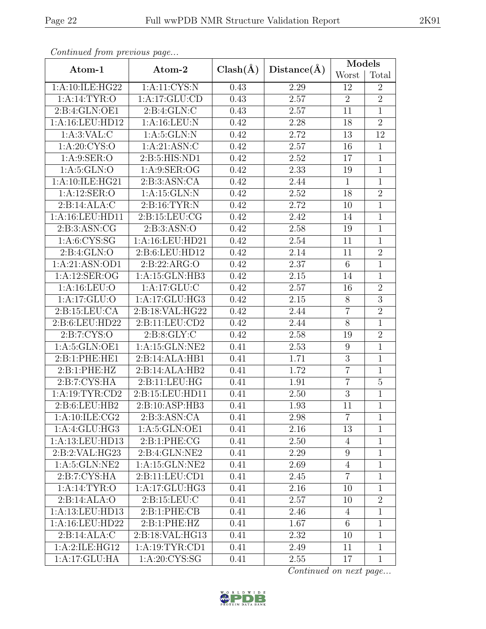|                           |                     |              |             | Models          |                |  |
|---------------------------|---------------------|--------------|-------------|-----------------|----------------|--|
| Atom-1                    | Atom-2              | $Clash(\AA)$ | Distance(A) | Worst           | Total          |  |
| 1:A:10:ILE:HG22           | 1:A:11:CYS:N        | 0.43         | 2.29        | 12              | $\overline{2}$ |  |
| 1:A:14:TYR:O              | 1:A:17:GLU:CD       | 0.43         | 2.57        | $\overline{2}$  | $\overline{2}$ |  |
| 2:B:4:GLN:OE1             | 2: B: 4: GLN: C     | 0.43         | 2.57        | 11              | $\mathbf{1}$   |  |
| 1:A:16:LEU:HD12           | 1: A:16:LEU: N      | 0.42         | 2.28        | 18              | $\overline{2}$ |  |
| 1: A:3: VAL: C            | 1: A:5: GLN:N       | 0.42         | 2.72        | 13              | 12             |  |
| 1: A:20: CYS:O            | 1: A:21: ASN: C     | 0.42         | 2.57        | 16              | $\mathbf{1}$   |  |
| 1: A:9: SER:O             | 2:B:5:HIS:ND1       | 0.42         | 2.52        | 17              | $\overline{1}$ |  |
| 1: A:5: GLN:O             | 1: A:9: SER:OG      | 0.42         | 2.33        | 19              | $\mathbf{1}$   |  |
| 1:A:10:ILE:HG21           | 2:B:3:ASN:CA        | 0.42         | 2.44        | $\mathbf{1}$    | $\overline{1}$ |  |
| 1:A:12:SER:O              | 1: A:15: GLN:N      | 0.42         | 2.52        | 18              | $\overline{2}$ |  |
| 2:B:14:ALA:C              | 2: B: 16: TYR: N    | 0.42         | 2.72        | 10              | $\overline{1}$ |  |
| 1: A: 16: LEU: HD11       | 2: B: 15: LEU: CG   | 0.42         | 2.42        | 14              | $\overline{1}$ |  |
| 2: B:3: ASN: CG           | 2: B:3: ASN:O       | 0.42         | 2.58        | 19              | $\mathbf{1}$   |  |
| 1: A: 6: CYS: SG          | 1: A:16: LEU: HD21  | 0.42         | 2.54        | 11              | $\mathbf{1}$   |  |
| 2: B: 4: GLN: O           | 2:B:6:LEU:HD12      | 0.42         | 2.14        | 11              | $\overline{2}$ |  |
| 1:A:21:ASN:OD1            | 2:B:22:ARG:O        | 0.42         | 2.37        | $6\phantom{.}6$ | $\overline{1}$ |  |
| 1: A: 12: SER: OG         | 1: A:15: GLN:HB3    | 0.42         | 2.15        | 14              | $\mathbf{1}$   |  |
| 1: A: 16: LEU: O          | 1:A:17:GLU:C        | 0.42         | 2.57        | 16              | $\overline{2}$ |  |
| 1:A:17:GLU:O              | 1:A:17:GLU:HG3      | 0.42         | 2.15        | 8               | $\overline{3}$ |  |
| 2: B: 15: LEU: CA         | 2:B:18:VAL:HG22     | 0.42         | 2.44        | $\overline{7}$  | $\overline{2}$ |  |
| 2:B:6:LEU:HD22            | 2:B:11:LEU:CD2      | 0.42         | 2.44        | $\overline{8}$  | $\overline{1}$ |  |
| 2: B: 7: CYS: O           | 2: B: 8: GLY: C     | 0.42         | 2.58        | 19              | $\overline{2}$ |  |
| 1:A:5:GLN:OE1             | 1:A:15:GLN:NE2      | 0.41         | 2.53        | 9               | $\mathbf{1}$   |  |
| 2:B:1:PHE:HE1             | 2:B:14:ALA:HB1      | 0.41         | 1.71        | $\overline{3}$  | $\mathbf{1}$   |  |
| 2:B:1:PHE:HZ              | 2:B:14:ALA:HB2      | 0.41         | 1.72        | $\overline{7}$  | $\mathbf{1}$   |  |
| 2:B:7:CYS:HA              | 2: B: 11: LEU: HG   | 0.41         | 1.91        | $\overline{7}$  | $\overline{5}$ |  |
| 1: A: 19: TYR: CD2        | 2: B: 15: LEU: HD11 | 0.41         | 2.50        | $\mathfrak{Z}$  | $\mathbf{1}$   |  |
| 2:B:6:LEU:HB2             | 2:B:10:ASP:HB3      | 0.41         | 1.93        | 11              | $\overline{1}$ |  |
| 1: A: 10: ILE: CG2        | 2:B:3:ASN:CA        | 0.41         | 2.98        | $\overline{7}$  | 1              |  |
| 1:A:4:GLU:HG3             | 1:A:5:GLN:OE1       | 0.41         | 2.16        | 13              | $\mathbf{1}$   |  |
| 1:A:13:LEU:HD13           | 2:B:1:PHE:CG        | 0.41         | 2.50        | 4               | $\mathbf{1}$   |  |
| 2:B:2:VAL:HG23            | 2:B:4:GLN:NE2       | 0.41         | 2.29        | $9\phantom{.0}$ | $\mathbf{1}$   |  |
| 1: A:5: GLN: NE2          | 1:A:15:GLN:NE2      | 0.41         | 2.69        | $\overline{4}$  | $\mathbf{1}$   |  |
| $2:B:7:CYS:H\overline{A}$ | 2:B:11:LEU:CD1      | 0.41         | 2.45        | $\overline{7}$  | $\mathbf{1}$   |  |
| 1: A:14:TYR:O             | 1:A:17:GLU:HG3      | 0.41         | 2.16        | 10              | $\mathbf{1}$   |  |
| 2:B:14:ALA:O              | 2: B: 15: LEU: C    |              | 2.57        | 10              | $\overline{2}$ |  |
| 1:A:13:LEU:HD13           | 2:B:1:PHE:CB        | 0.41         | 2.46        | 4               | $\mathbf{1}$   |  |
| 1:A:16:LEU:HD22           | 2:B:1:PHE:HZ        | 0.41         | 1.67        | 6               | 1              |  |
| 2:B:14:ALA:C              | 2:B:18:VAL:HG13     | 0.41         | 2.32        | 10              | $\mathbf{1}$   |  |
| 1:A:2:ILE:HG12            | 1: A: 19: TYR: CD1  | 0.41         | 2.49        | 11              | $\mathbf{1}$   |  |
| 1:A:17:GLU:HA             | 1: A:20: CYS:SG     |              | 2.55        | 17              | $\mathbf{1}$   |  |

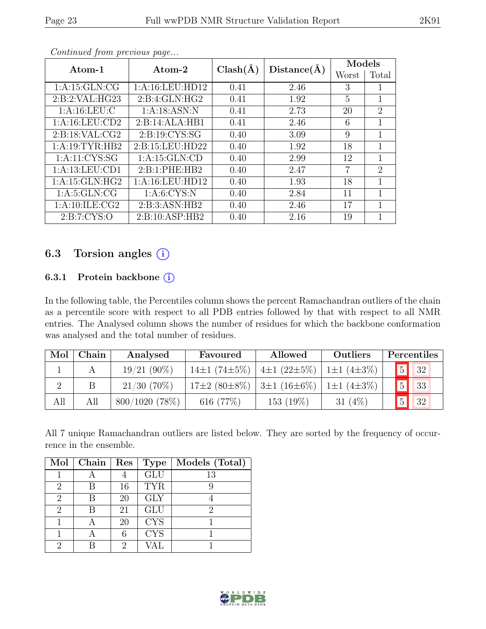| Atom-1             | Atom-2            | $Clash(\AA)$ | Distance(A) | Models |                             |
|--------------------|-------------------|--------------|-------------|--------|-----------------------------|
|                    |                   |              |             | Worst  | Total                       |
| 1: A:15: GLN:CG    | 1: A:16:LEU:HD12  | 0.41         | 2.46        | 3      | 1                           |
| 2:B:2:VAL:HG23     | 2: B: 4: GLN: HG2 | 0.41         | 1.92        | 5      | 1                           |
| 1: A: 16: LEU: C   | 1: A:18: ASN:N    | 0.41         | 2.73        | 20     | $\mathcal{D}_{\mathcal{L}}$ |
| 1: A: 16: LEU: CD2 | 2:B:14:ALA:HB1    | 0.41         | 2.46        | 6      | 1                           |
| 2: B: 18: VAL: CG2 | 2: B: 19: CYS: SG |              | 3.09        | 9      | 1                           |
| 1: A:19:TYR:HB2    | 2:B:15:LEU:HD22   | 0.40         | 1.92        | 18     | 1                           |
| 1: A: 11: CYS: SG  | 1: A:15: GLN:CD   | 0.40         | 2.99        | 12     | 1                           |
| 1:A:13:LEU:CD1     | 2:B:1:PHE:HB2     | 0.40         | 2.47        | 7      | $\mathcal{D}_{\mathcal{A}}$ |
| 1: A:15: GLN: HG2  | 1:A:16:LEU:HD12   | 0.40         | 1.93        | 18     | 1                           |
| 1: A:5: GLN: CG    | 1: A:6: CYS:N     | 0.40         | 2.84        | 11     | 1                           |
| 1: A: 10: ILE: CG2 | 2:B:3:ASN:HB2     | 0.40         | 2.46        | 17     | 1                           |
| 2: B: 7: CYS: O    | 2:B:10:ASP:HB2    | 0.40         | 2.16        | 19     |                             |

### 6.3 Torsion angles (i)

#### 6.3.1 Protein backbone (i)

In the following table, the Percentiles column shows the percent Ramachandran outliers of the chain as a percentile score with respect to all PDB entries followed by that with respect to all NMR entries. The Analysed column shows the number of residues for which the backbone conformation was analysed and the total number of residues.

| Mol | Chain | Analysed         | Favoured                                                                   | Allowed           | Outliers         |             | Percentiles       |
|-----|-------|------------------|----------------------------------------------------------------------------|-------------------|------------------|-------------|-------------------|
|     |       | $19/21(90\%)$    | 14 $\pm$ 1 (74 $\pm$ 5%)                                                   | $4\pm1(22\pm5\%)$ | $1\pm1(4\pm3\%)$ | 5           | $\blacksquare$ 32 |
|     |       | $21/30(70\%)$    | $17\pm2$ (80 $\pm8\%$ )   3 $\pm1$ (16 $\pm6\%$ )   1 $\pm1$ (4 $\pm3\%$ ) |                   |                  | $\boxed{5}$ | $\blacksquare$ 33 |
| All | All   | $800/1020$ (78%) | 616 (77%)                                                                  | 153 (19%)         | 31 $(4\%)$       |             | 32                |

All 7 unique Ramachandran outliers are listed below. They are sorted by the frequency of occurrence in the ensemble.

| Mol                         | Chain | Res | <b>Type</b> | Models (Total) |
|-----------------------------|-------|-----|-------------|----------------|
|                             |       |     | <b>GLU</b>  | 13             |
| 2                           |       | 16  | <b>TYR</b>  |                |
| $\overline{2}$              | R     | 20  | <b>GLY</b>  |                |
| $\mathcal{D}_{\mathcal{L}}$ |       | 21  | GLU         | 2              |
|                             |       | 20  | <b>CYS</b>  |                |
|                             |       | 6   | <b>CYS</b>  |                |
| റ                           |       |     |             |                |

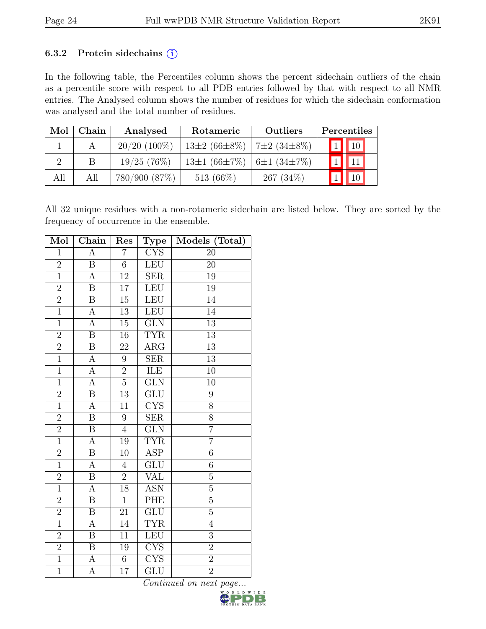#### 6.3.2 Protein sidechains  $(i)$

In the following table, the Percentiles column shows the percent sidechain outliers of the chain as a percentile score with respect to all PDB entries followed by that with respect to all NMR entries. The Analysed column shows the number of residues for which the sidechain conformation was analysed and the total number of residues.

| Mol | Chain | Analysed       | Rotameric                          | Outliers          | Percentiles              |
|-----|-------|----------------|------------------------------------|-------------------|--------------------------|
|     |       | $20/20$ (100%) | $13\pm2(66\pm8\%)$                 | $7\pm2(34\pm8\%)$ | $\boxed{1}$ $\boxed{10}$ |
|     | B     | 19/25(76%)     | 13±1 $(66\pm7\%)$ 6±1 $(34\pm7\%)$ |                   |                          |
| All | All   | 780/900 (87%)  | 513 $(66\%)$                       | $267(34\%)$       |                          |

All 32 unique residues with a non-rotameric sidechain are listed below. They are sorted by the frequency of occurrence in the ensemble.

| Mol            | Chain                   | Res             | <b>Type</b>              | Models (Total)  |
|----------------|-------------------------|-----------------|--------------------------|-----------------|
| $\mathbf{1}$   | $\overline{A}$          | $\overline{7}$  | <b>CYS</b>               | 20              |
| $\overline{2}$ | $\overline{\mathrm{B}}$ | $\overline{6}$  | LEU                      | $\overline{20}$ |
| $\overline{1}$ | $\boldsymbol{A}$        | $\overline{12}$ | SER                      | 19              |
| $\overline{2}$ | $\overline{B}$          | 17              | LEU                      | 19              |
| $\overline{2}$ | $\overline{\mathbf{B}}$ | $\overline{15}$ | LEU                      | 14              |
| $\overline{1}$ | A                       | 13              | LEU                      | $\overline{14}$ |
| $\overline{1}$ | $\overline{A}$          | $\overline{15}$ | $\overline{\text{GLN}}$  | $\overline{13}$ |
| $\overline{2}$ | $\overline{\mathbf{B}}$ | 16              | <b>TYR</b>               | 13              |
| $\overline{2}$ | $\, {\bf B}$            | 22              | $\overline{\rm{ARG}}$    | $\overline{13}$ |
| $\overline{1}$ | $\overline{A}$          | $9\,$           | $\overline{\text{SER}}$  | $\overline{13}$ |
| $\mathbf{1}$   | $\boldsymbol{\rm{A}}$   | $\overline{2}$  | ILE                      | $10\,$          |
| $\overline{1}$ | $\overline{A}$          | $\overline{5}$  | $\overline{\text{GLN}}$  | 10              |
| $\overline{2}$ | $\, {\bf B}$            | 13              | $\overline{{\rm GLU}}$   | 9               |
| $\overline{1}$ | $\overline{A}$          | 11              | $\overline{\text{CYS}}$  | $\overline{8}$  |
| $\overline{2}$ | $\overline{B}$          | $\overline{9}$  | SER                      | $\overline{8}$  |
| $\overline{2}$ | $\, {\bf B}$            | $\overline{4}$  | $\widetilde{\text{GLN}}$ | $\overline{7}$  |
| $\overline{1}$ | $\overline{A}$          | 19              | <b>TYR</b>               | $\overline{7}$  |
| $\overline{2}$ | $\, {\bf B}$            | $10\,$          | <b>ASP</b>               | $\sqrt{6}$      |
| $\overline{1}$ | $\overline{A}$          | $\overline{4}$  | $\overline{\text{GLU}}$  | $\overline{6}$  |
| $\overline{2}$ | $\, {\bf B}$            | $\overline{2}$  | <b>VAL</b>               | $\bf 5$         |
| $\overline{1}$ | $\overline{A}$          | $\overline{18}$ | <b>ASN</b>               | $\overline{5}$  |
| $\overline{2}$ | $\overline{\mathbf{B}}$ | $\overline{1}$  | PHE                      | $\overline{5}$  |
| $\overline{2}$ | $\, {\bf B}$            | 21              | $\overline{{\rm GLU}}$   | $\overline{5}$  |
| $\overline{1}$ | $\overline{A}$          | $\overline{14}$ | <b>TYR</b>               | $\overline{4}$  |
| $\overline{2}$ | $\, {\bf B}$            | 11              | LEU                      | $\overline{3}$  |
| $\overline{2}$ | $\overline{\mathbf{B}}$ | 19              | CYS                      | $\overline{2}$  |
| $\overline{1}$ | $\overline{A}$          | $\overline{6}$  | <b>CYS</b>               | $\overline{2}$  |
| $\overline{1}$ | $\overline{\rm A}$      | 17              | GLU                      | $\overline{2}$  |

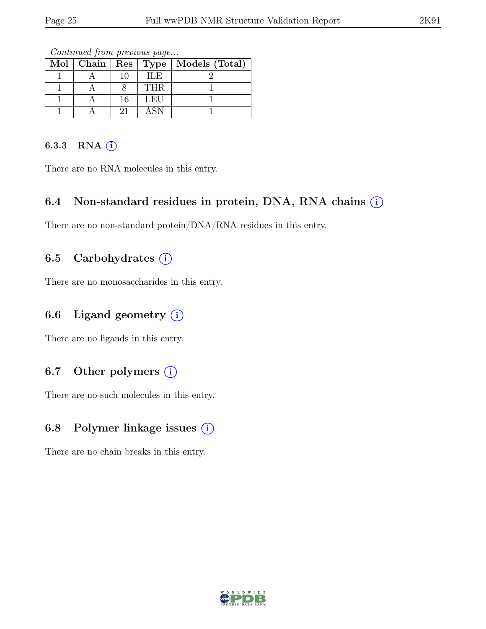|  |    |            | Mol   Chain   Res   Type   Models (Total) |
|--|----|------------|-------------------------------------------|
|  | 10 | ILE.       |                                           |
|  |    | <b>THR</b> |                                           |
|  | 16 | LEU        |                                           |
|  | 21 | ASN        |                                           |

Continued from previous page...

#### 6.3.3 RNA  $(i)$

There are no RNA molecules in this entry.

### 6.4 Non-standard residues in protein, DNA, RNA chains  $\circ$

There are no non-standard protein/DNA/RNA residues in this entry.

### 6.5 Carbohydrates  $(i)$

There are no monosaccharides in this entry.

### 6.6 Ligand geometry  $(i)$

There are no ligands in this entry.

### 6.7 Other polymers  $(i)$

There are no such molecules in this entry.

### 6.8 Polymer linkage issues  $(i)$

There are no chain breaks in this entry.